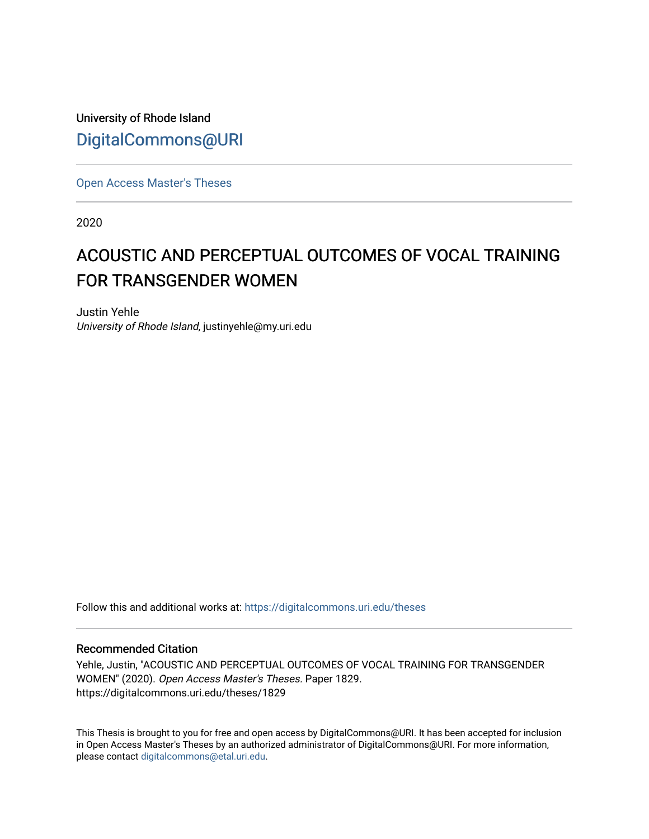University of Rhode Island [DigitalCommons@URI](https://digitalcommons.uri.edu/) 

[Open Access Master's Theses](https://digitalcommons.uri.edu/theses) 

2020

# ACOUSTIC AND PERCEPTUAL OUTCOMES OF VOCAL TRAINING FOR TRANSGENDER WOMEN

Justin Yehle University of Rhode Island, justinyehle@my.uri.edu

Follow this and additional works at: [https://digitalcommons.uri.edu/theses](https://digitalcommons.uri.edu/theses?utm_source=digitalcommons.uri.edu%2Ftheses%2F1829&utm_medium=PDF&utm_campaign=PDFCoverPages)

#### Recommended Citation

Yehle, Justin, "ACOUSTIC AND PERCEPTUAL OUTCOMES OF VOCAL TRAINING FOR TRANSGENDER WOMEN" (2020). Open Access Master's Theses. Paper 1829. https://digitalcommons.uri.edu/theses/1829

This Thesis is brought to you for free and open access by DigitalCommons@URI. It has been accepted for inclusion in Open Access Master's Theses by an authorized administrator of DigitalCommons@URI. For more information, please contact [digitalcommons@etal.uri.edu.](mailto:digitalcommons@etal.uri.edu)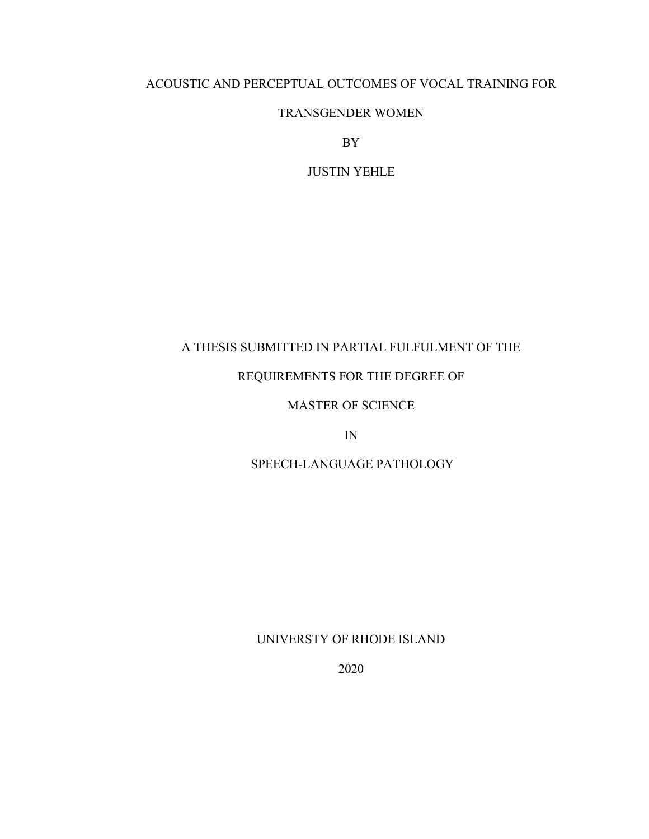# ACOUSTIC AND PERCEPTUAL OUTCOMES OF VOCAL TRAINING FOR

# TRANSGENDER WOMEN

BY

JUSTIN YEHLE

# A THESIS SUBMITTED IN PARTIAL FULFULMENT OF THE

# REQUIREMENTS FOR THE DEGREE OF

# MASTER OF SCIENCE

IN

# SPEECH-LANGUAGE PATHOLOGY

# UNIVERSTY OF RHODE ISLAND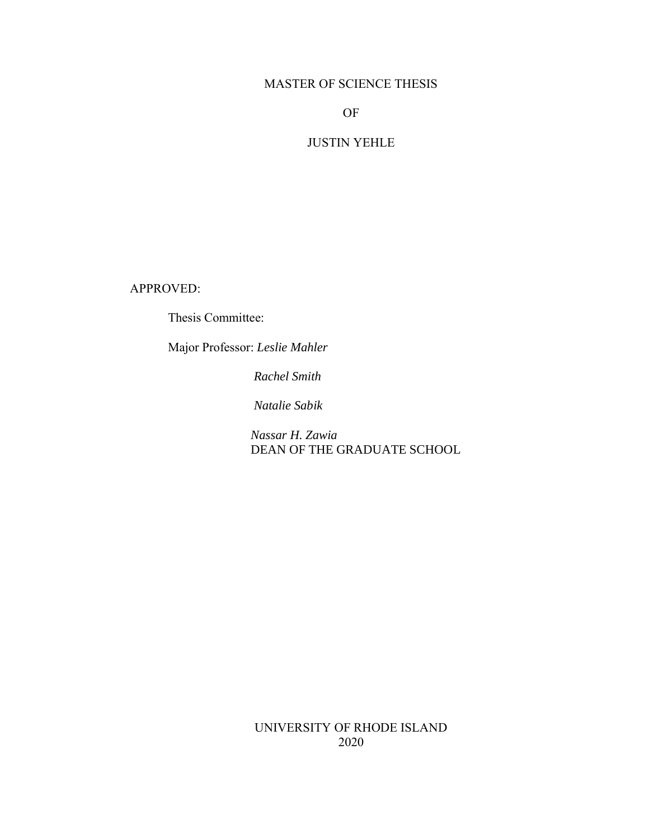# MASTER OF SCIENCE THESIS

# OF

# JUSTIN YEHLE

APPROVED:

Thesis Committee:

Major Professor: *Leslie Mahler*

*Rachel Smith*

*Natalie Sabik*

 *Nassar H. Zawia* **DEAN OF THE GRADUATE SCHOOL** 

UNIVERSITY OF RHODE ISLAND 2020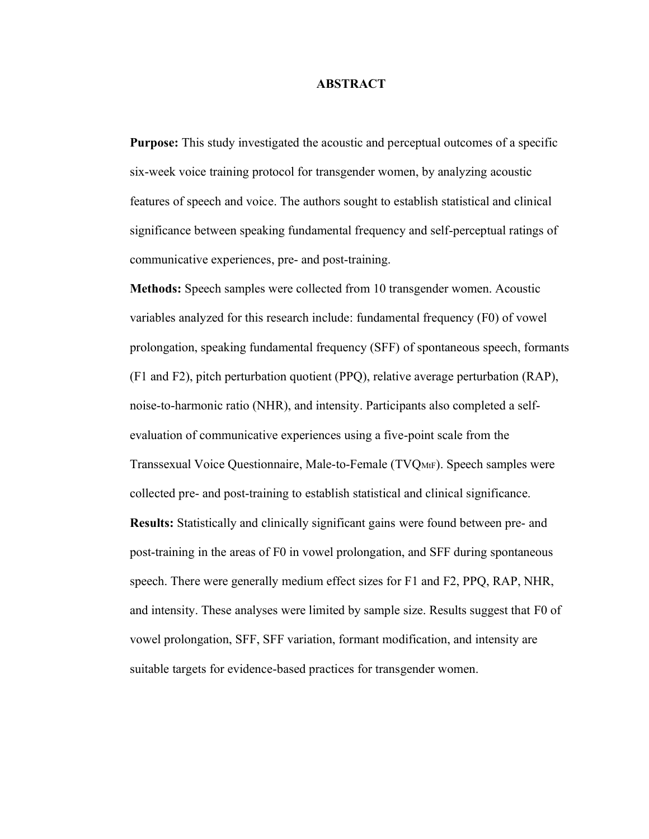#### **ABSTRACT**

**Purpose:** This study investigated the acoustic and perceptual outcomes of a specific six-week voice training protocol for transgender women, by analyzing acoustic features of speech and voice. The authors sought to establish statistical and clinical significance between speaking fundamental frequency and self-perceptual ratings of communicative experiences, pre- and post-training.

**Methods:** Speech samples were collected from 10 transgender women. Acoustic variables analyzed for this research include: fundamental frequency (F0) of vowel prolongation, speaking fundamental frequency (SFF) of spontaneous speech, formants (F1 and F2), pitch perturbation quotient (PPQ), relative average perturbation (RAP), noise-to-harmonic ratio (NHR), and intensity. Participants also completed a selfevaluation of communicative experiences using a five-point scale from the Transsexual Voice Questionnaire, Male-to-Female (TVQMtF). Speech samples were collected pre- and post-training to establish statistical and clinical significance. **Results:** Statistically and clinically significant gains were found between pre- and post-training in the areas of F0 in vowel prolongation, and SFF during spontaneous speech. There were generally medium effect sizes for F1 and F2, PPQ, RAP, NHR, and intensity. These analyses were limited by sample size. Results suggest that F0 of vowel prolongation, SFF, SFF variation, formant modification, and intensity are suitable targets for evidence-based practices for transgender women.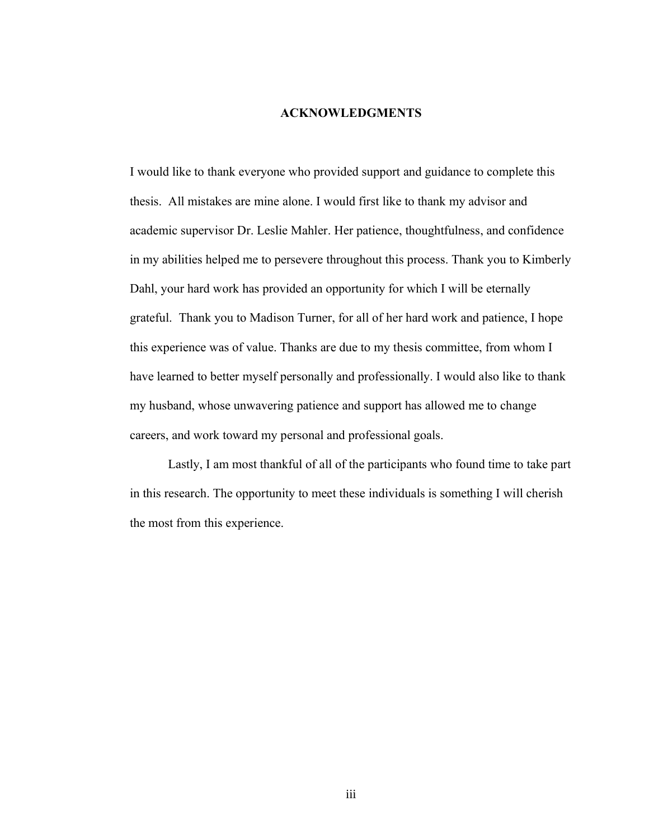# **ACKNOWLEDGMENTS**

I would like to thank everyone who provided support and guidance to complete this thesis. All mistakes are mine alone. I would first like to thank my advisor and academic supervisor Dr. Leslie Mahler. Her patience, thoughtfulness, and confidence in my abilities helped me to persevere throughout this process. Thank you to Kimberly Dahl, your hard work has provided an opportunity for which I will be eternally grateful. Thank you to Madison Turner, for all of her hard work and patience, I hope this experience was of value. Thanks are due to my thesis committee, from whom I have learned to better myself personally and professionally. I would also like to thank my husband, whose unwavering patience and support has allowed me to change careers, and work toward my personal and professional goals.

Lastly, I am most thankful of all of the participants who found time to take part in this research. The opportunity to meet these individuals is something I will cherish the most from this experience.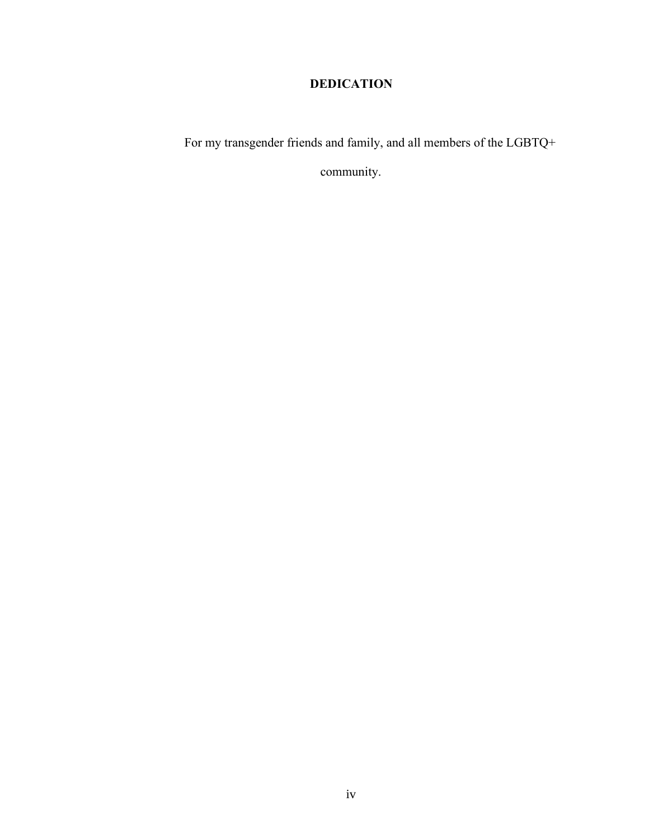# **DEDICATION**

For my transgender friends and family, and all members of the LGBTQ+

community.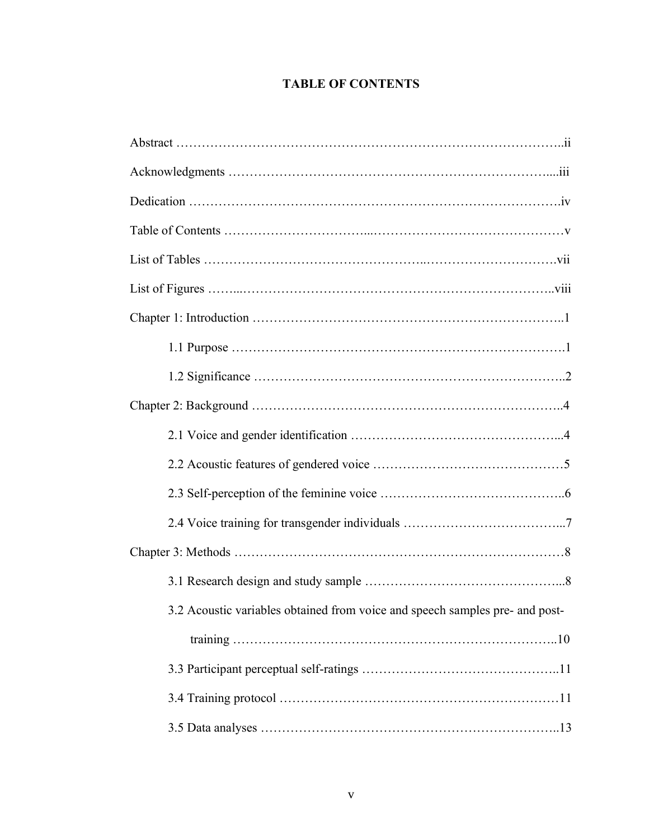# **TABLE OF CONTENTS**

| 3.2 Acoustic variables obtained from voice and speech samples pre- and post- |
|------------------------------------------------------------------------------|
|                                                                              |
|                                                                              |
|                                                                              |
|                                                                              |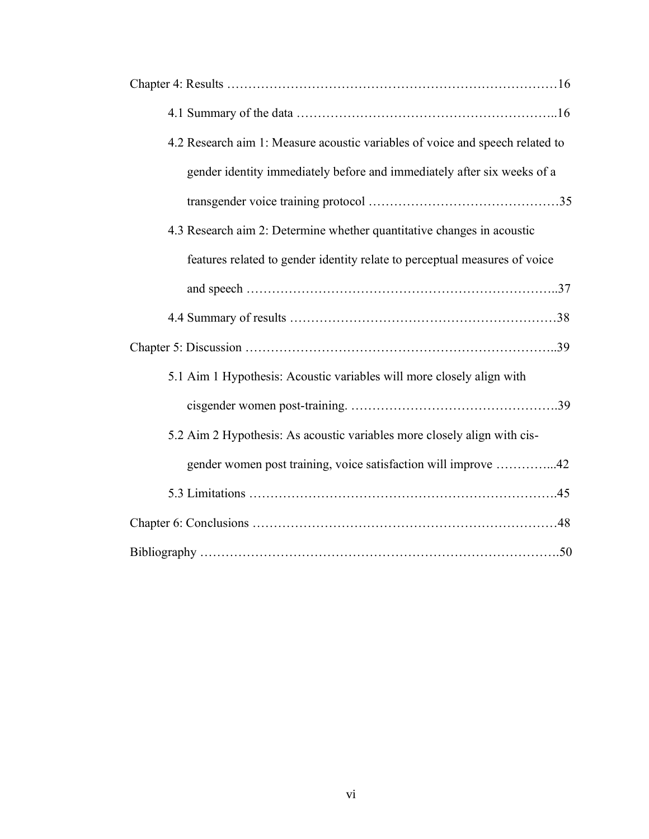| 4.2 Research aim 1: Measure acoustic variables of voice and speech related to |
|-------------------------------------------------------------------------------|
| gender identity immediately before and immediately after six weeks of a       |
|                                                                               |
| 4.3 Research aim 2: Determine whether quantitative changes in acoustic        |
| features related to gender identity relate to perceptual measures of voice    |
|                                                                               |
|                                                                               |
|                                                                               |
| 5.1 Aim 1 Hypothesis: Acoustic variables will more closely align with         |
|                                                                               |
| 5.2 Aim 2 Hypothesis: As acoustic variables more closely align with cis-      |
| gender women post training, voice satisfaction will improve 42                |
|                                                                               |
|                                                                               |
|                                                                               |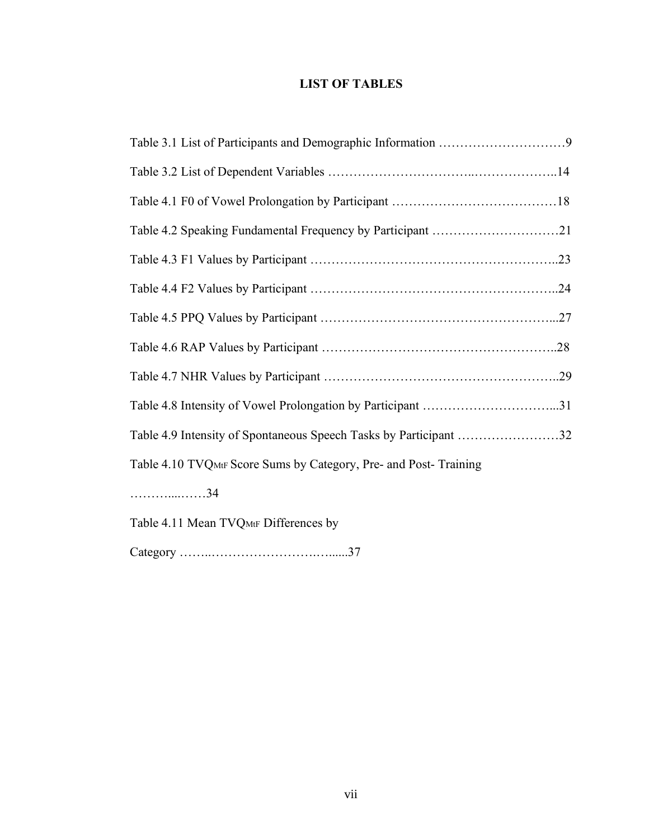# **LIST OF TABLES**

| Table 4.2 Speaking Fundamental Frequency by Participant 21        |
|-------------------------------------------------------------------|
|                                                                   |
|                                                                   |
|                                                                   |
|                                                                   |
|                                                                   |
|                                                                   |
| Table 4.9 Intensity of Spontaneous Speech Tasks by Participant 32 |
| Table 4.10 TVQMtF Score Sums by Category, Pre- and Post-Training  |
| . 34                                                              |

Table 4.11 Mean TVQMtF Differences by

Category ……..…………………….…......37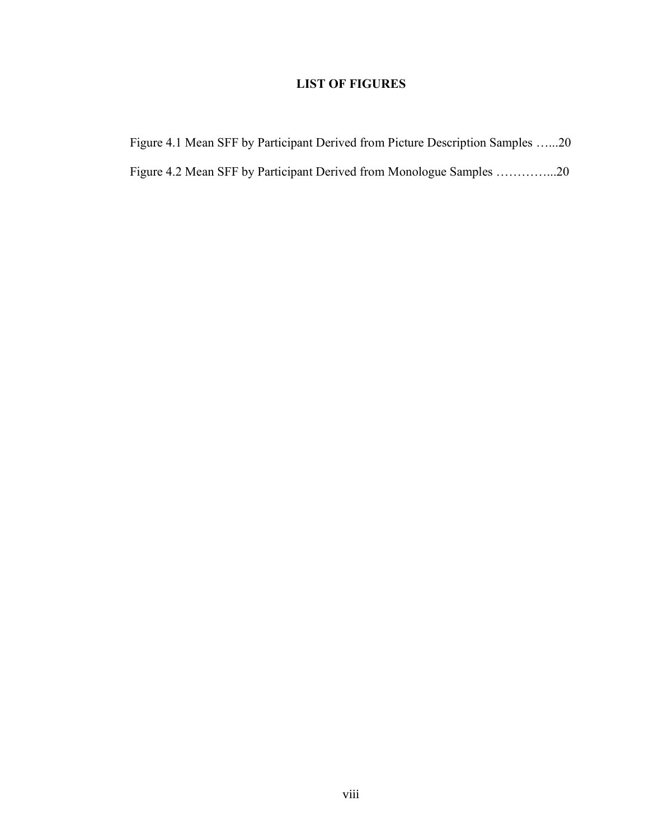# **LIST OF FIGURES**

| Figure 4.1 Mean SFF by Participant Derived from Picture Description Samples 20 |  |  |  |
|--------------------------------------------------------------------------------|--|--|--|
| Figure 4.2 Mean SFF by Participant Derived from Monologue Samples 20           |  |  |  |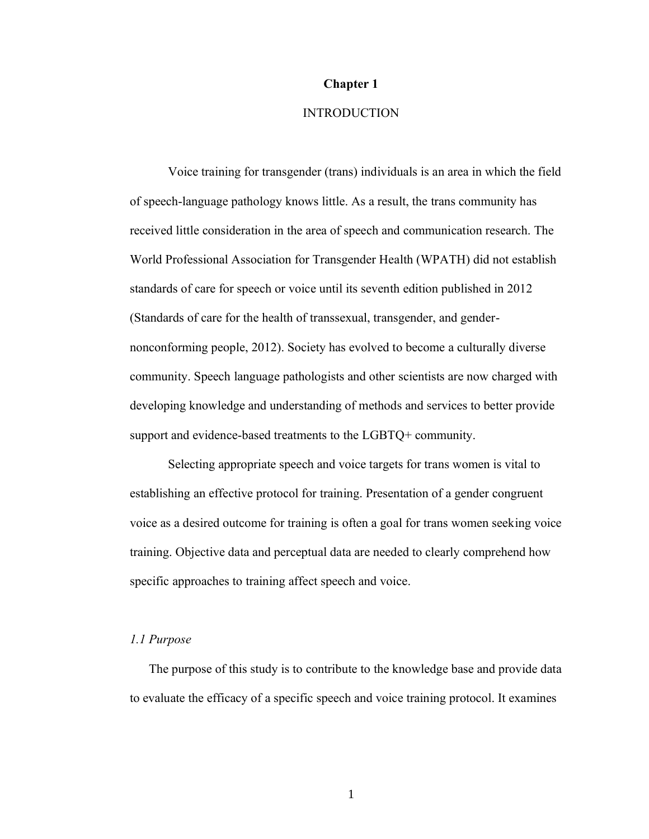#### **Chapter 1**

# INTRODUCTION

Voice training for transgender (trans) individuals is an area in which the field of speech-language pathology knows little. As a result, the trans community has received little consideration in the area of speech and communication research. The World Professional Association for Transgender Health (WPATH) did not establish standards of care for speech or voice until its seventh edition published in 2012 (Standards of care for the health of transsexual, transgender, and gendernonconforming people, 2012). Society has evolved to become a culturally diverse community. Speech language pathologists and other scientists are now charged with developing knowledge and understanding of methods and services to better provide support and evidence-based treatments to the LGBTQ+ community.

Selecting appropriate speech and voice targets for trans women is vital to establishing an effective protocol for training. Presentation of a gender congruent voice as a desired outcome for training is often a goal for trans women seeking voice training. Objective data and perceptual data are needed to clearly comprehend how specific approaches to training affect speech and voice.

#### *1.1 Purpose*

The purpose of this study is to contribute to the knowledge base and provide data to evaluate the efficacy of a specific speech and voice training protocol. It examines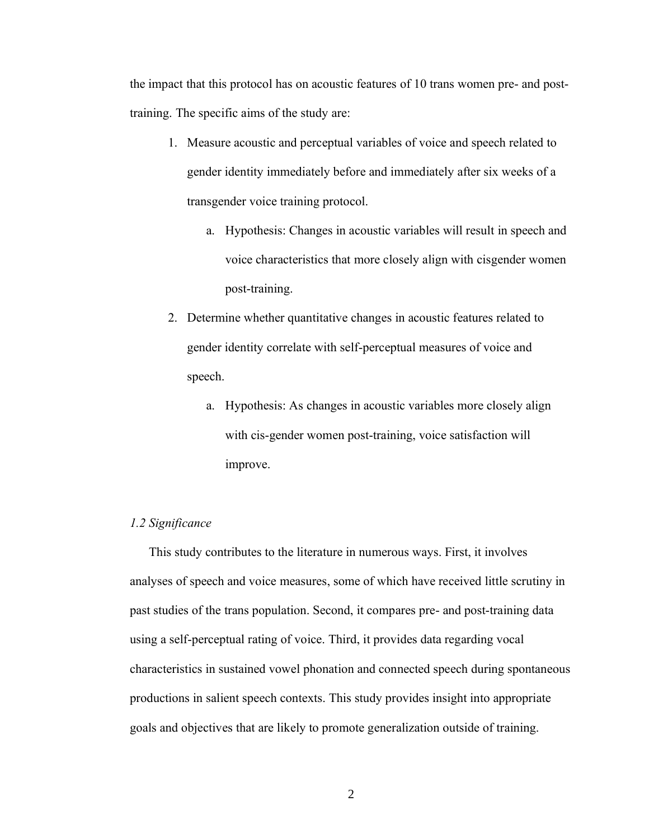the impact that this protocol has on acoustic features of 10 trans women pre- and posttraining. The specific aims of the study are:

- 1. Measure acoustic and perceptual variables of voice and speech related to gender identity immediately before and immediately after six weeks of a transgender voice training protocol.
	- a. Hypothesis: Changes in acoustic variables will result in speech and voice characteristics that more closely align with cisgender women post-training.
- 2. Determine whether quantitative changes in acoustic features related to gender identity correlate with self-perceptual measures of voice and speech.
	- a. Hypothesis: As changes in acoustic variables more closely align with cis-gender women post-training, voice satisfaction will improve.

#### *1.2 Significance*

This study contributes to the literature in numerous ways. First, it involves analyses of speech and voice measures, some of which have received little scrutiny in past studies of the trans population. Second, it compares pre- and post-training data using a self-perceptual rating of voice. Third, it provides data regarding vocal characteristics in sustained vowel phonation and connected speech during spontaneous productions in salient speech contexts. This study provides insight into appropriate goals and objectives that are likely to promote generalization outside of training.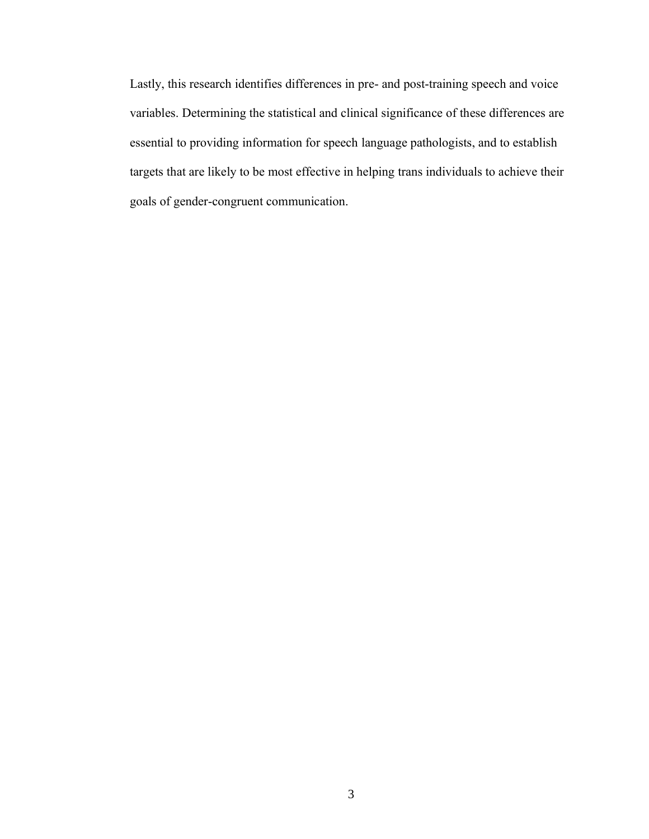Lastly, this research identifies differences in pre- and post-training speech and voice variables. Determining the statistical and clinical significance of these differences are essential to providing information for speech language pathologists, and to establish targets that are likely to be most effective in helping trans individuals to achieve their goals of gender-congruent communication.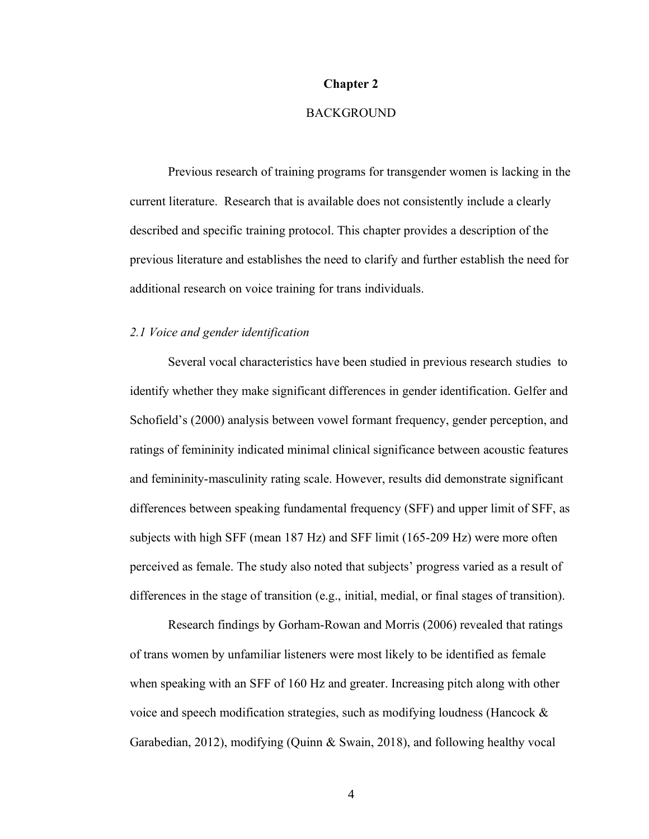#### **Chapter 2**

# BACKGROUND

Previous research of training programs for transgender women is lacking in the current literature. Research that is available does not consistently include a clearly described and specific training protocol. This chapter provides a description of the previous literature and establishes the need to clarify and further establish the need for additional research on voice training for trans individuals.

#### *2.1 Voice and gender identification*

Several vocal characteristics have been studied in previous research studies to identify whether they make significant differences in gender identification. Gelfer and Schofield's (2000) analysis between vowel formant frequency, gender perception, and ratings of femininity indicated minimal clinical significance between acoustic features and femininity-masculinity rating scale. However, results did demonstrate significant differences between speaking fundamental frequency (SFF) and upper limit of SFF, as subjects with high SFF (mean 187 Hz) and SFF limit (165-209 Hz) were more often perceived as female. The study also noted that subjects' progress varied as a result of differences in the stage of transition (e.g., initial, medial, or final stages of transition).

Research findings by Gorham-Rowan and Morris (2006) revealed that ratings of trans women by unfamiliar listeners were most likely to be identified as female when speaking with an SFF of 160 Hz and greater. Increasing pitch along with other voice and speech modification strategies, such as modifying loudness (Hancock & Garabedian, 2012), modifying (Quinn & Swain, 2018), and following healthy vocal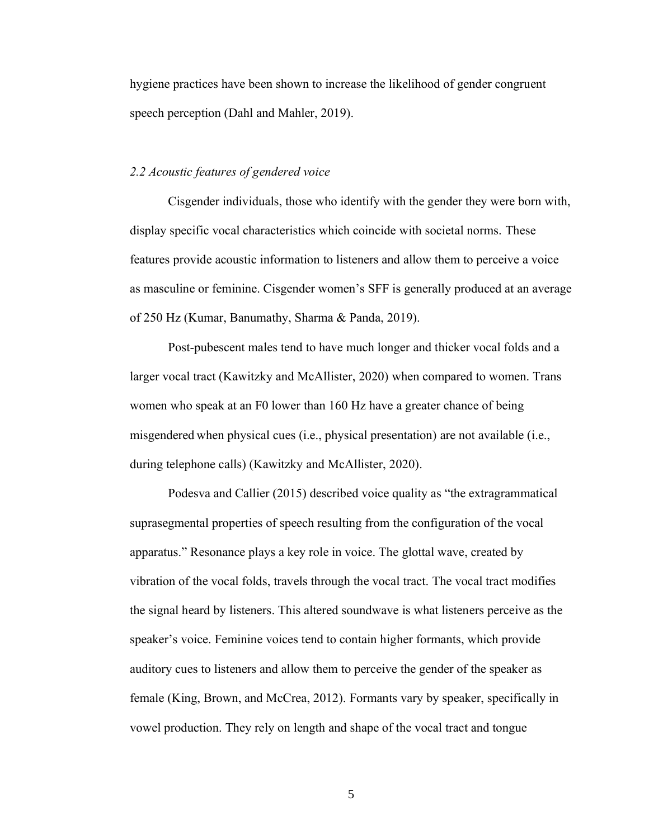hygiene practices have been shown to increase the likelihood of gender congruent speech perception (Dahl and Mahler, 2019).

## *2.2 Acoustic features of gendered voice*

Cisgender individuals, those who identify with the gender they were born with, display specific vocal characteristics which coincide with societal norms. These features provide acoustic information to listeners and allow them to perceive a voice as masculine or feminine. Cisgender women's SFF is generally produced at an average of 250 Hz (Kumar, Banumathy, Sharma & Panda, 2019).

Post-pubescent males tend to have much longer and thicker vocal folds and a larger vocal tract (Kawitzky and McAllister, 2020) when compared to women. Trans women who speak at an F0 lower than 160 Hz have a greater chance of being misgendered when physical cues (i.e., physical presentation) are not available (i.e., during telephone calls) (Kawitzky and McAllister, 2020).

Podesva and Callier (2015) described voice quality as "the extragrammatical suprasegmental properties of speech resulting from the configuration of the vocal apparatus." Resonance plays a key role in voice. The glottal wave, created by vibration of the vocal folds, travels through the vocal tract. The vocal tract modifies the signal heard by listeners. This altered soundwave is what listeners perceive as the speaker's voice. Feminine voices tend to contain higher formants, which provide auditory cues to listeners and allow them to perceive the gender of the speaker as female (King, Brown, and McCrea, 2012). Formants vary by speaker, specifically in vowel production. They rely on length and shape of the vocal tract and tongue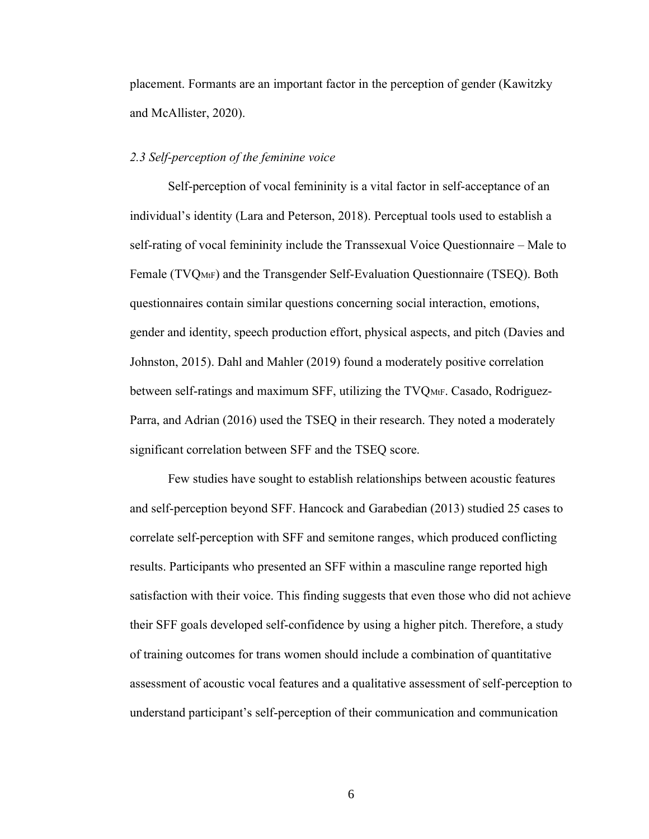placement. Formants are an important factor in the perception of gender (Kawitzky and McAllister, 2020).

### *2.3 Self-perception of the feminine voice*

Self-perception of vocal femininity is a vital factor in self-acceptance of an individual's identity (Lara and Peterson, 2018). Perceptual tools used to establish a self-rating of vocal femininity include the Transsexual Voice Questionnaire – Male to Female (TVQMtF) and the Transgender Self-Evaluation Questionnaire (TSEQ). Both questionnaires contain similar questions concerning social interaction, emotions, gender and identity, speech production effort, physical aspects, and pitch (Davies and Johnston, 2015). Dahl and Mahler (2019) found a moderately positive correlation between self-ratings and maximum SFF, utilizing the TVQMtF. Casado, Rodriguez-Parra, and Adrian (2016) used the TSEQ in their research. They noted a moderately significant correlation between SFF and the TSEQ score.

Few studies have sought to establish relationships between acoustic features and self-perception beyond SFF. Hancock and Garabedian (2013) studied 25 cases to correlate self-perception with SFF and semitone ranges, which produced conflicting results. Participants who presented an SFF within a masculine range reported high satisfaction with their voice. This finding suggests that even those who did not achieve their SFF goals developed self-confidence by using a higher pitch. Therefore, a study of training outcomes for trans women should include a combination of quantitative assessment of acoustic vocal features and a qualitative assessment of self-perception to understand participant's self-perception of their communication and communication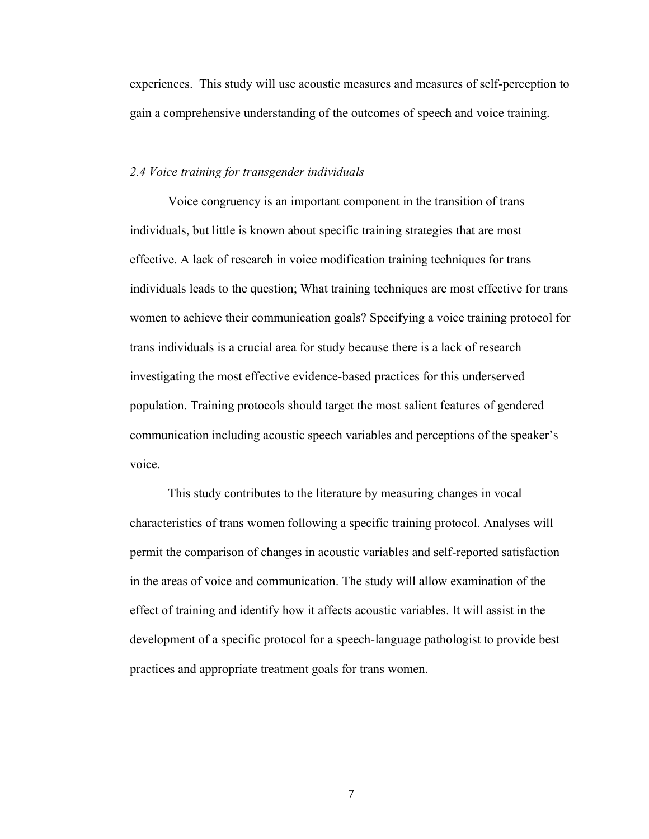experiences. This study will use acoustic measures and measures of self-perception to gain a comprehensive understanding of the outcomes of speech and voice training.

#### *2.4 Voice training for transgender individuals*

Voice congruency is an important component in the transition of trans individuals, but little is known about specific training strategies that are most effective. A lack of research in voice modification training techniques for trans individuals leads to the question; What training techniques are most effective for trans women to achieve their communication goals? Specifying a voice training protocol for trans individuals is a crucial area for study because there is a lack of research investigating the most effective evidence-based practices for this underserved population. Training protocols should target the most salient features of gendered communication including acoustic speech variables and perceptions of the speaker's voice.

This study contributes to the literature by measuring changes in vocal characteristics of trans women following a specific training protocol. Analyses will permit the comparison of changes in acoustic variables and self-reported satisfaction in the areas of voice and communication. The study will allow examination of the effect of training and identify how it affects acoustic variables. It will assist in the development of a specific protocol for a speech-language pathologist to provide best practices and appropriate treatment goals for trans women.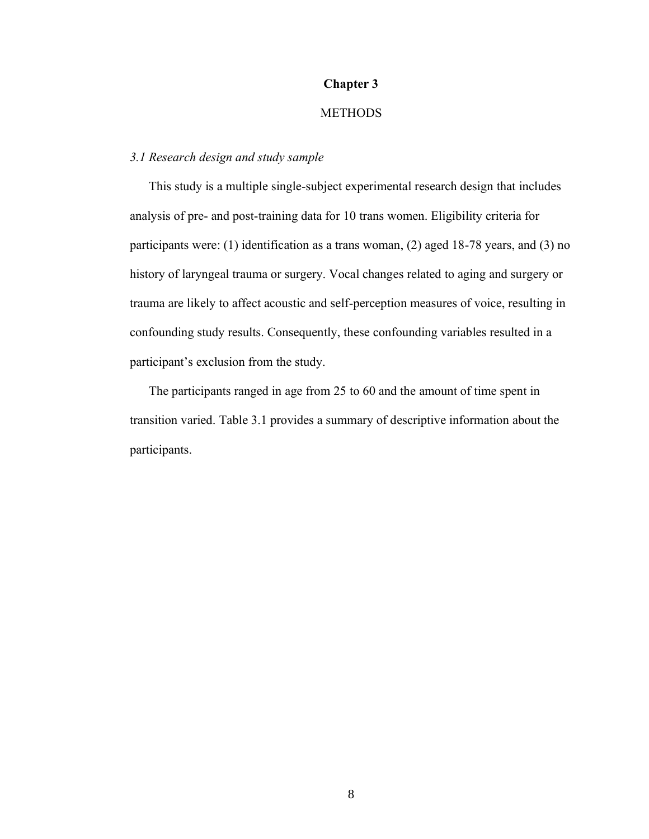# **Chapter 3**

# **METHODS**

# *3.1 Research design and study sample*

This study is a multiple single-subject experimental research design that includes analysis of pre- and post-training data for 10 trans women. Eligibility criteria for participants were: (1) identification as a trans woman, (2) aged 18-78 years, and (3) no history of laryngeal trauma or surgery. Vocal changes related to aging and surgery or trauma are likely to affect acoustic and self-perception measures of voice, resulting in confounding study results. Consequently, these confounding variables resulted in a participant's exclusion from the study.

The participants ranged in age from 25 to 60 and the amount of time spent in transition varied. Table 3.1 provides a summary of descriptive information about the participants.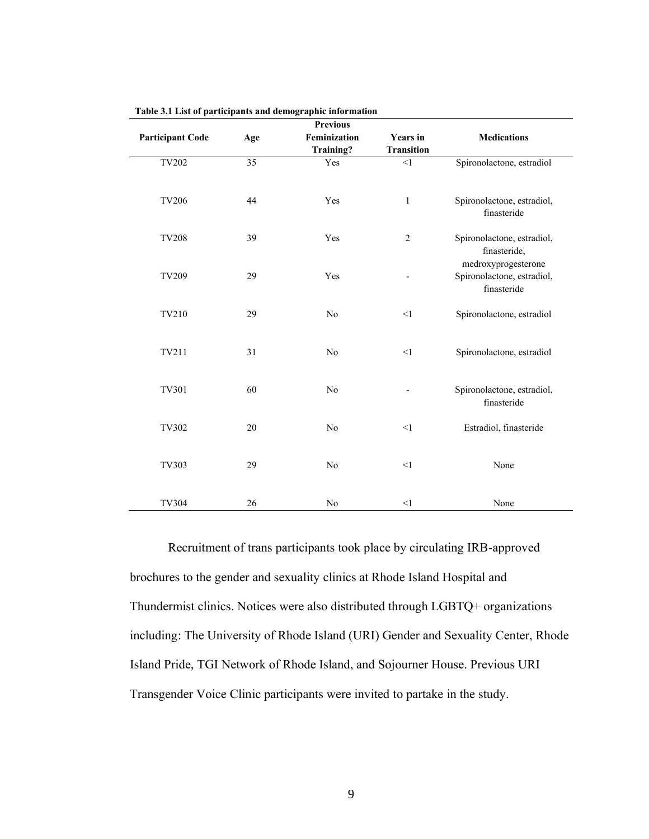|                         |     | <b>Previous</b> |                   |                                                                  |
|-------------------------|-----|-----------------|-------------------|------------------------------------------------------------------|
| <b>Participant Code</b> | Age | Feminization    | <b>Years</b> in   | <b>Medications</b>                                               |
|                         |     | Training?       | <b>Transition</b> |                                                                  |
| <b>TV202</b>            | 35  | Yes             | <1                | Spironolactone, estradiol                                        |
| <b>TV206</b>            | 44  | Yes             | $\mathbf{1}$      | Spironolactone, estradiol,<br>finasteride                        |
| <b>TV208</b>            | 39  | Yes             | $\mathfrak{2}$    | Spironolactone, estradiol,<br>finasteride,                       |
| TV209                   | 29  | Yes             |                   | medroxyprogesterone<br>Spironolactone, estradiol,<br>finasteride |
| TV210                   | 29  | No              | <1                | Spironolactone, estradiol                                        |
| TV211                   | 31  | No              | $<$ 1             | Spironolactone, estradiol                                        |
| TV301                   | 60  | No              |                   | Spironolactone, estradiol,<br>finasteride                        |
| TV302                   | 20  | No              | $\leq$ 1          | Estradiol, finasteride                                           |
| TV303                   | 29  | No              | $\leq$ 1          | None                                                             |
| TV304                   | 26  | No              | <1                | None                                                             |

**Table 3.1 List of participants and demographic information**

Recruitment of trans participants took place by circulating IRB-approved brochures to the gender and sexuality clinics at Rhode Island Hospital and Thundermist clinics. Notices were also distributed through LGBTQ+ organizations including: The University of Rhode Island (URI) Gender and Sexuality Center, Rhode Island Pride, TGI Network of Rhode Island, and Sojourner House. Previous URI Transgender Voice Clinic participants were invited to partake in the study.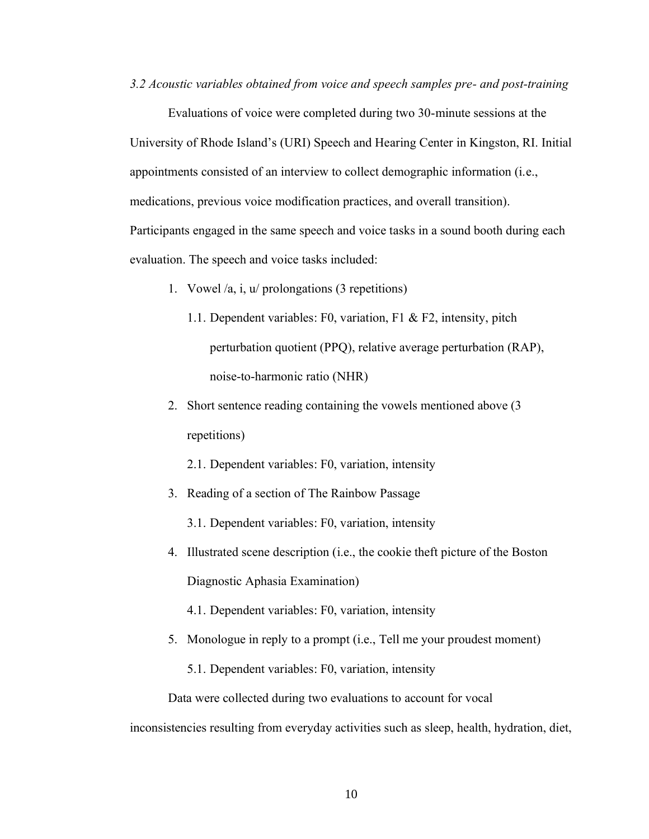*3.2 Acoustic variables obtained from voice and speech samples pre- and post-training*

Evaluations of voice were completed during two 30-minute sessions at the University of Rhode Island's (URI) Speech and Hearing Center in Kingston, RI. Initial appointments consisted of an interview to collect demographic information (i.e., medications, previous voice modification practices, and overall transition). Participants engaged in the same speech and voice tasks in a sound booth during each evaluation. The speech and voice tasks included:

- 1. Vowel /a, i, u/ prolongations (3 repetitions)
	- 1.1. Dependent variables: F0, variation, F1 & F2, intensity, pitch perturbation quotient (PPQ), relative average perturbation (RAP), noise-to-harmonic ratio (NHR)
- 2. Short sentence reading containing the vowels mentioned above (3 repetitions)
	- 2.1. Dependent variables: F0, variation, intensity
- 3. Reading of a section of The Rainbow Passage
	- 3.1. Dependent variables: F0, variation, intensity
- 4. Illustrated scene description (i.e., the cookie theft picture of the Boston Diagnostic Aphasia Examination)
	- 4.1. Dependent variables: F0, variation, intensity
- 5. Monologue in reply to a prompt (i.e., Tell me your proudest moment)
	- 5.1. Dependent variables: F0, variation, intensity

Data were collected during two evaluations to account for vocal

inconsistencies resulting from everyday activities such as sleep, health, hydration, diet,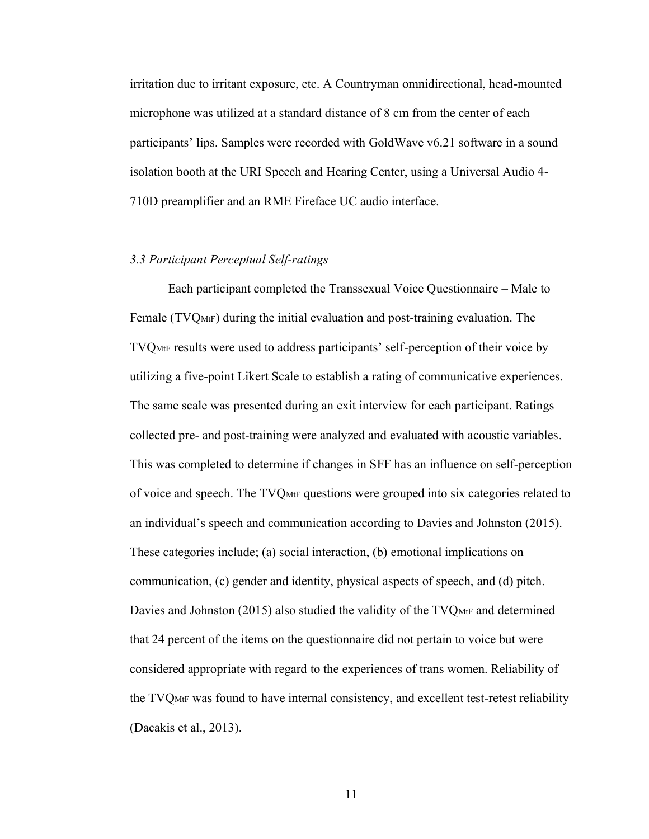irritation due to irritant exposure, etc. A Countryman omnidirectional, head-mounted microphone was utilized at a standard distance of 8 cm from the center of each participants' lips. Samples were recorded with GoldWave v6.21 software in a sound isolation booth at the URI Speech and Hearing Center, using a Universal Audio 4- 710D preamplifier and an RME Fireface UC audio interface.

#### *3.3 Participant Perceptual Self-ratings*

Each participant completed the Transsexual Voice Questionnaire – Male to Female (TVQMtF) during the initial evaluation and post-training evaluation. The TVQMtF results were used to address participants' self-perception of their voice by utilizing a five-point Likert Scale to establish a rating of communicative experiences. The same scale was presented during an exit interview for each participant. Ratings collected pre- and post-training were analyzed and evaluated with acoustic variables. This was completed to determine if changes in SFF has an influence on self-perception of voice and speech. The TVQMtF questions were grouped into six categories related to an individual's speech and communication according to Davies and Johnston (2015). These categories include; (a) social interaction, (b) emotional implications on communication, (c) gender and identity, physical aspects of speech, and (d) pitch. Davies and Johnston (2015) also studied the validity of the TVQMtF and determined that 24 percent of the items on the questionnaire did not pertain to voice but were considered appropriate with regard to the experiences of trans women. Reliability of the TVQMtF was found to have internal consistency, and excellent test-retest reliability (Dacakis et al., 2013).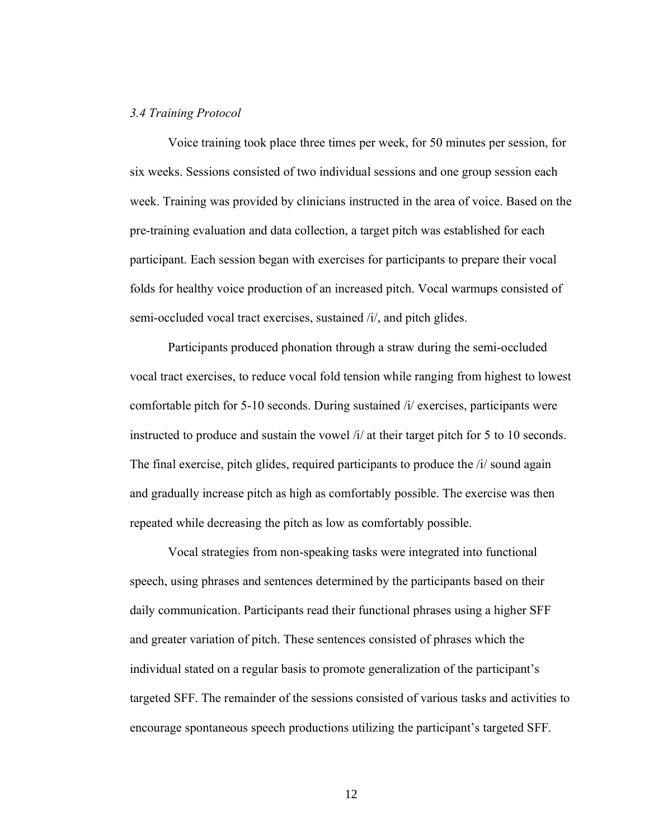### *3.4 Training Protocol*

Voice training took place three times per week, for 50 minutes per session, for six weeks. Sessions consisted of two individual sessions and one group session each week. Training was provided by clinicians instructed in the area of voice. Based on the pre-training evaluation and data collection, a target pitch was established for each participant. Each session began with exercises for participants to prepare their vocal folds for healthy voice production of an increased pitch. Vocal warmups consisted of semi-occluded vocal tract exercises, sustained /i/, and pitch glides.

Participants produced phonation through a straw during the semi-occluded vocal tract exercises, to reduce vocal fold tension while ranging from highest to lowest comfortable pitch for 5-10 seconds. During sustained /i/ exercises, participants were instructed to produce and sustain the vowel /i/ at their target pitch for 5 to 10 seconds. The final exercise, pitch glides, required participants to produce the *i i* sound again and gradually increase pitch as high as comfortably possible. The exercise was then repeated while decreasing the pitch as low as comfortably possible.

Vocal strategies from non-speaking tasks were integrated into functional speech, using phrases and sentences determined by the participants based on their daily communication. Participants read their functional phrases using a higher SFF and greater variation of pitch. These sentences consisted of phrases which the individual stated on a regular basis to promote generalization of the participant's targeted SFF. The remainder of the sessions consisted of various tasks and activities to encourage spontaneous speech productions utilizing the participant's targeted SFF.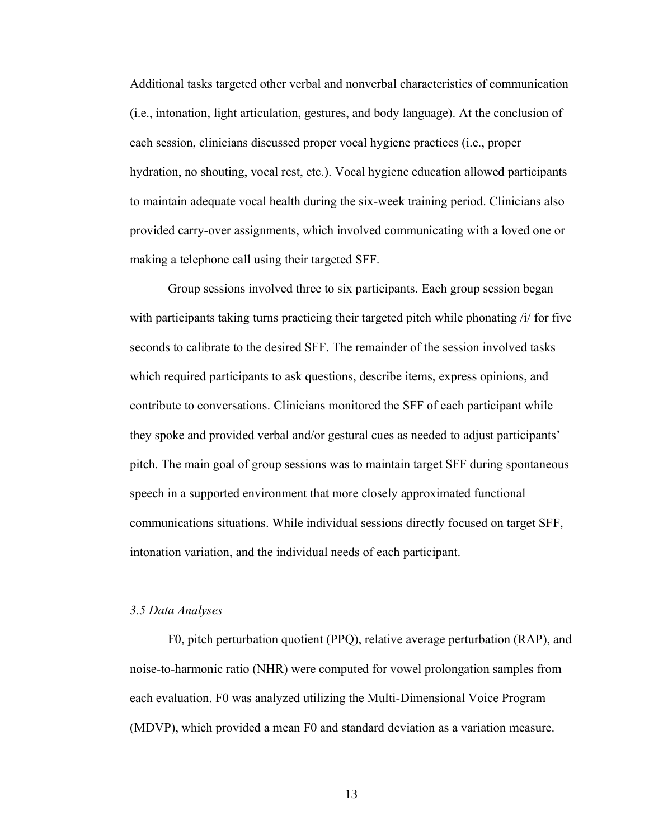Additional tasks targeted other verbal and nonverbal characteristics of communication (i.e., intonation, light articulation, gestures, and body language). At the conclusion of each session, clinicians discussed proper vocal hygiene practices (i.e., proper hydration, no shouting, vocal rest, etc.). Vocal hygiene education allowed participants to maintain adequate vocal health during the six-week training period. Clinicians also provided carry-over assignments, which involved communicating with a loved one or making a telephone call using their targeted SFF.

Group sessions involved three to six participants. Each group session began with participants taking turns practicing their targeted pitch while phonating /i/ for five seconds to calibrate to the desired SFF. The remainder of the session involved tasks which required participants to ask questions, describe items, express opinions, and contribute to conversations. Clinicians monitored the SFF of each participant while they spoke and provided verbal and/or gestural cues as needed to adjust participants' pitch. The main goal of group sessions was to maintain target SFF during spontaneous speech in a supported environment that more closely approximated functional communications situations. While individual sessions directly focused on target SFF, intonation variation, and the individual needs of each participant.

### *3.5 Data Analyses*

F0, pitch perturbation quotient (PPQ), relative average perturbation (RAP), and noise-to-harmonic ratio (NHR) were computed for vowel prolongation samples from each evaluation. F0 was analyzed utilizing the Multi-Dimensional Voice Program (MDVP), which provided a mean F0 and standard deviation as a variation measure.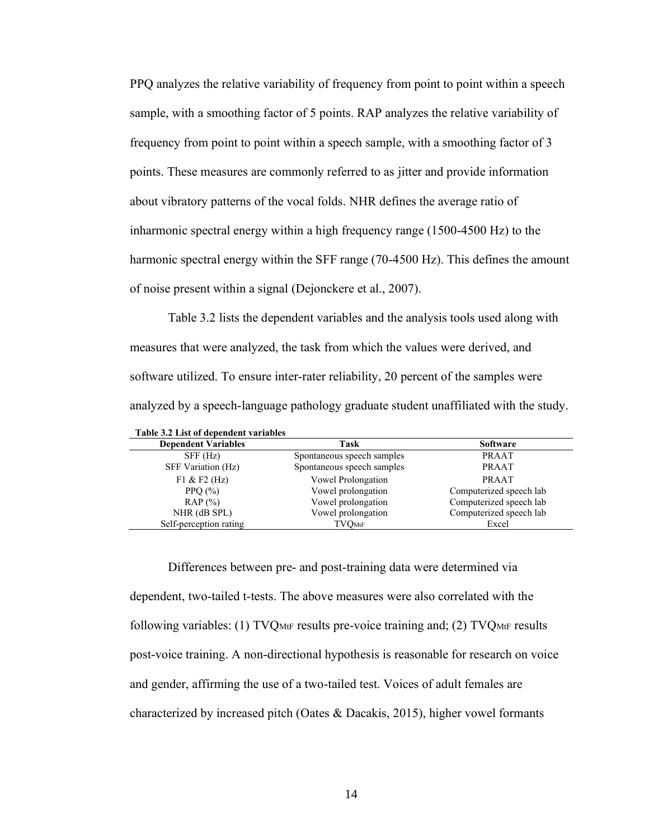PPQ analyzes the relative variability of frequency from point to point within a speech sample, with a smoothing factor of 5 points. RAP analyzes the relative variability of frequency from point to point within a speech sample, with a smoothing factor of 3 points. These measures are commonly referred to as jitter and provide information about vibratory patterns of the vocal folds. NHR defines the average ratio of inharmonic spectral energy within a high frequency range (1500-4500 Hz) to the harmonic spectral energy within the SFF range (70-4500 Hz). This defines the amount of noise present within a signal (Dejonckere et al., 2007).

Table 3.2 lists the dependent variables and the analysis tools used along with measures that were analyzed, the task from which the values were derived, and software utilized. To ensure inter-rater reliability, 20 percent of the samples were analyzed by a speech-language pathology graduate student unaffiliated with the study.

| <b>Dependent Variables</b> | Task                       | <b>Software</b>         |
|----------------------------|----------------------------|-------------------------|
| SFF(Hz)                    | Spontaneous speech samples | <b>PRAAT</b>            |
| SFF Variation (Hz)         | Spontaneous speech samples | <b>PRAAT</b>            |
| $F1 & F2$ (Hz)             | Vowel Prolongation         | PRAAT                   |
| PPO $(\% )$                | Vowel prolongation         | Computerized speech lab |
| RAP(%)                     | Vowel prolongation         | Computerized speech lab |
| NHR (dB SPL)               | Vowel prolongation         | Computerized speech lab |
| Self-perception rating     | $\rm TVOMtF$               | Excel                   |

**Table 3.2 List of dependent variables**

Differences between pre- and post-training data were determined via dependent, two-tailed t-tests. The above measures were also correlated with the following variables: (1) TVQMtF results pre-voice training and; (2) TVQMtF results post-voice training. A non-directional hypothesis is reasonable for research on voice and gender, affirming the use of a two-tailed test. Voices of adult females are characterized by increased pitch (Oates & Dacakis, 2015), higher vowel formants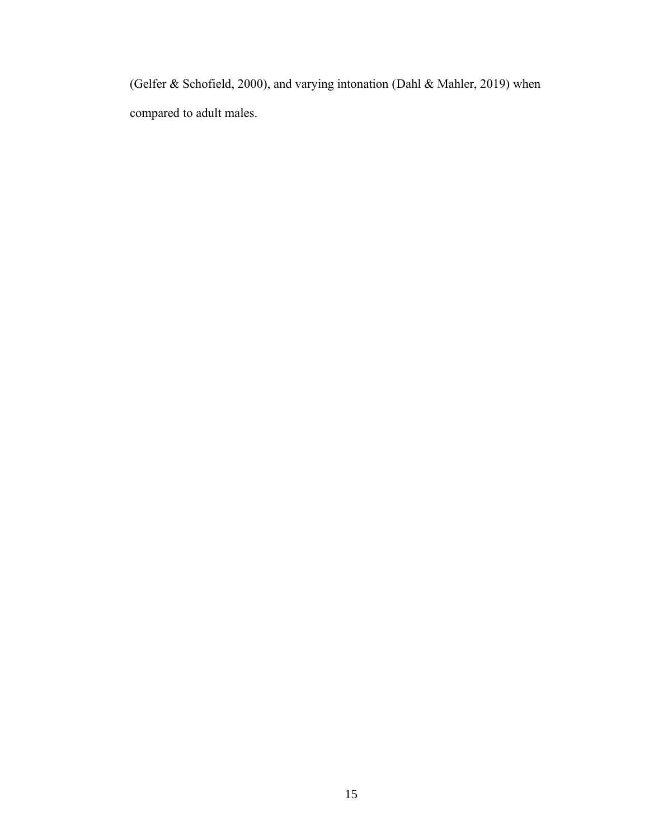(Gelfer & Schofield, 2000), and varying intonation (Dahl & Mahler, 2019) when compared to adult males.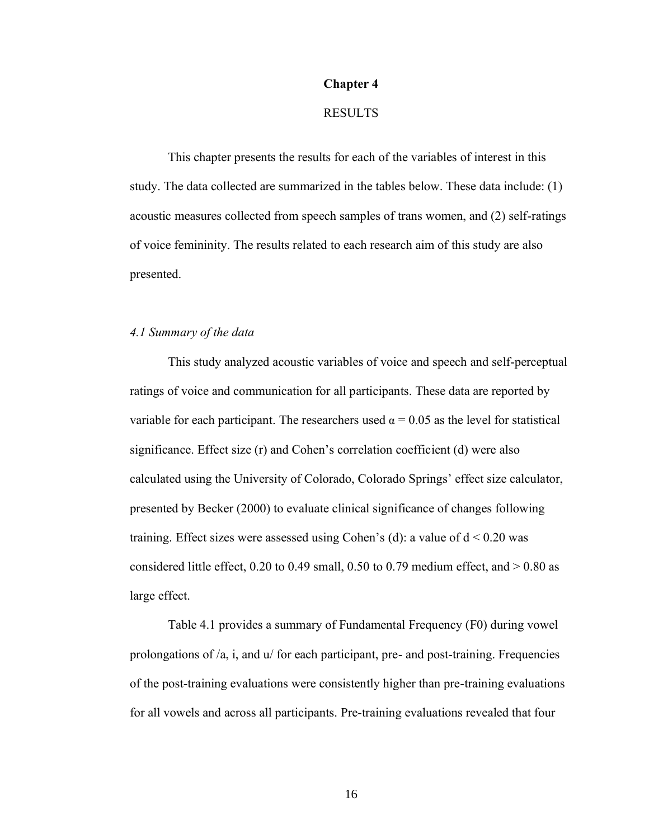#### **Chapter 4**

### RESULTS

This chapter presents the results for each of the variables of interest in this study. The data collected are summarized in the tables below. These data include: (1) acoustic measures collected from speech samples of trans women, and (2) self-ratings of voice femininity. The results related to each research aim of this study are also presented.

### *4.1 Summary of the data*

This study analyzed acoustic variables of voice and speech and self-perceptual ratings of voice and communication for all participants. These data are reported by variable for each participant. The researchers used  $\alpha = 0.05$  as the level for statistical significance. Effect size (r) and Cohen's correlation coefficient (d) were also calculated using the University of Colorado, Colorado Springs' effect size calculator, presented by Becker (2000) to evaluate clinical significance of changes following training. Effect sizes were assessed using Cohen's (d): a value of  $d < 0.20$  was considered little effect, 0.20 to 0.49 small, 0.50 to 0.79 medium effect, and  $> 0.80$  as large effect.

Table 4.1 provides a summary of Fundamental Frequency (F0) during vowel prolongations of /a, i, and u/ for each participant, pre- and post-training. Frequencies of the post-training evaluations were consistently higher than pre-training evaluations for all vowels and across all participants. Pre-training evaluations revealed that four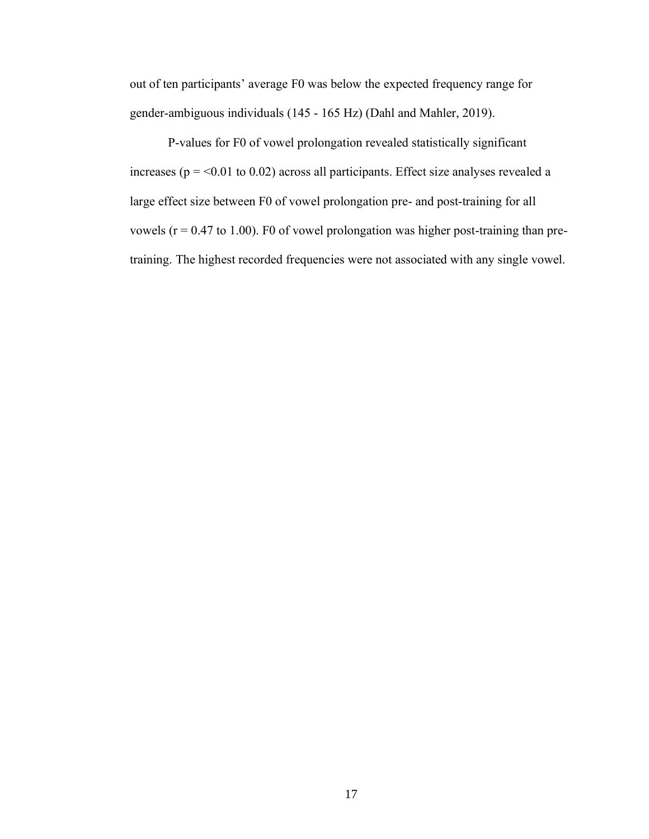out of ten participants' average F0 was below the expected frequency range for gender-ambiguous individuals (145 - 165 Hz) (Dahl and Mahler, 2019).

P-values for F0 of vowel prolongation revealed statistically significant increases ( $p = 0.01$  to 0.02) across all participants. Effect size analyses revealed a large effect size between F0 of vowel prolongation pre- and post-training for all vowels ( $r = 0.47$  to 1.00). F0 of vowel prolongation was higher post-training than pretraining. The highest recorded frequencies were not associated with any single vowel.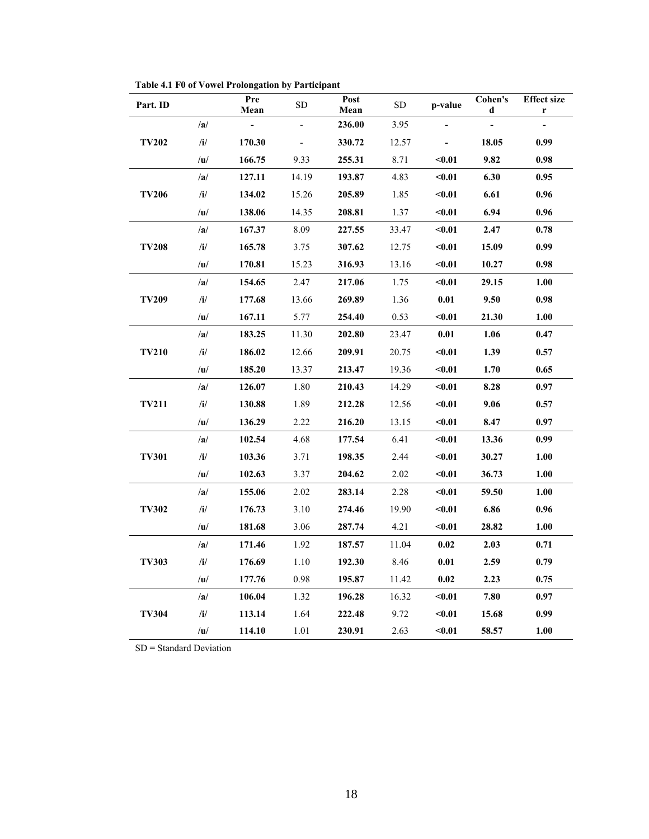| Part. ID     |               | Pre<br>Mean              | <b>SD</b>                | Post<br>Mean | <b>SD</b> | p-value        | Cohen's<br>d   | <b>Effect size</b><br>r |
|--------------|---------------|--------------------------|--------------------------|--------------|-----------|----------------|----------------|-------------------------|
|              | /a/           | $\overline{\phantom{a}}$ | $\frac{1}{2}$            | 236.00       | 3.95      |                | $\overline{a}$ |                         |
| <b>TV202</b> | /i/           | 170.30                   | $\overline{\phantom{a}}$ | 330.72       | 12.57     | $\blacksquare$ | 18.05          | 0.99                    |
|              | /u/           | 166.75                   | 9.33                     | 255.31       | 8.71      | $0.01$         | 9.82           | 0.98                    |
|              | /a/           | 127.11                   | 14.19                    | 193.87       | 4.83      | $0.01$         | 6.30           | 0.95                    |
| <b>TV206</b> | $/$ i $/$     | 134.02                   | 15.26                    | 205.89       | 1.85      | $0.01$         | 6.61           | 0.96                    |
|              | u             | 138.06                   | 14.35                    | 208.81       | 1.37      | $0.01$         | 6.94           | 0.96                    |
|              | a             | 167.37                   | 8.09                     | 227.55       | 33.47     | $0.01$         | 2.47           | 0.78                    |
| <b>TV208</b> | /i/           | 165.78                   | 3.75                     | 307.62       | 12.75     | $0.01$         | 15.09          | 0.99                    |
|              | u             | 170.81                   | 15.23                    | 316.93       | 13.16     | $0.01$         | 10.27          | 0.98                    |
|              | /a/           | 154.65                   | 2.47                     | 217.06       | 1.75      | $0.01$         | 29.15          | 1.00                    |
| <b>TV209</b> | $\mathbf{ii}$ | 177.68                   | 13.66                    | 269.89       | 1.36      | $0.01\,$       | 9.50           | 0.98                    |
|              | /u/           | 167.11                   | 5.77                     | 254.40       | 0.53      | $0.01$         | 21.30          | 1.00                    |
|              | /a/           | 183.25                   | 11.30                    | 202.80       | 23.47     | 0.01           | 1.06           | 0.47                    |
| <b>TV210</b> | /i/           | 186.02                   | 12.66                    | 209.91       | 20.75     | $0.01$         | 1.39           | 0.57                    |
|              | /u/           | 185.20                   | 13.37                    | 213.47       | 19.36     | $0.01$         | 1.70           | 0.65                    |
|              | /a/           | 126.07                   | 1.80                     | 210.43       | 14.29     | $0.01$         | 8.28           | 0.97                    |
| <b>TV211</b> | $/$ i $/$     | 130.88                   | 1.89                     | 212.28       | 12.56     | $0.01$         | 9.06           | 0.57                    |
|              | /u/           | 136.29                   | 2.22                     | 216.20       | 13.15     | $0.01$         | 8.47           | 0.97                    |
|              | /a/           | 102.54                   | 4.68                     | 177.54       | 6.41      | $0.01$         | 13.36          | 0.99                    |
| <b>TV301</b> | /i/           | 103.36                   | 3.71                     | 198.35       | 2.44      | $0.01$         | 30.27          | 1.00                    |
|              | u             | 102.63                   | 3.37                     | 204.62       | 2.02      | $0.01$         | 36.73          | 1.00                    |
|              | /a/           | 155.06                   | 2.02                     | 283.14       | 2.28      | $0.01$         | 59.50          | 1.00                    |
| <b>TV302</b> | $/$ i $/$     | 176.73                   | 3.10                     | 274.46       | 19.90     | $0.01$         | 6.86           | 0.96                    |
|              | /u/           | 181.68                   | 3.06                     | 287.74       | 4.21      | $0.01$         | 28.82          | 1.00                    |
|              | /a/           | 171.46                   | 1.92                     | 187.57       | 11.04     | 0.02           | 2.03           | 0.71                    |
| <b>TV303</b> | $\mathbf{i}$  | 176.69                   | 1.10                     | 192.30       | 8.46      | 0.01           | 2.59           | 0.79                    |
|              | u             | 177.76                   | 0.98                     | 195.87       | 11.42     | 0.02           | 2.23           | 0.75                    |
|              | /a/           | 106.04                   | 1.32                     | 196.28       | 16.32     | $0.01$         | 7.80           | 0.97                    |
| <b>TV304</b> | /i/           | 113.14                   | 1.64                     | 222.48       | 9.72      | $0.01$         | 15.68          | 0.99                    |
|              | u             | 114.10                   | 1.01                     | 230.91       | 2.63      | $0.01$         | 58.57          | 1.00                    |

**Table 4.1 F0 of Vowel Prolongation by Participant**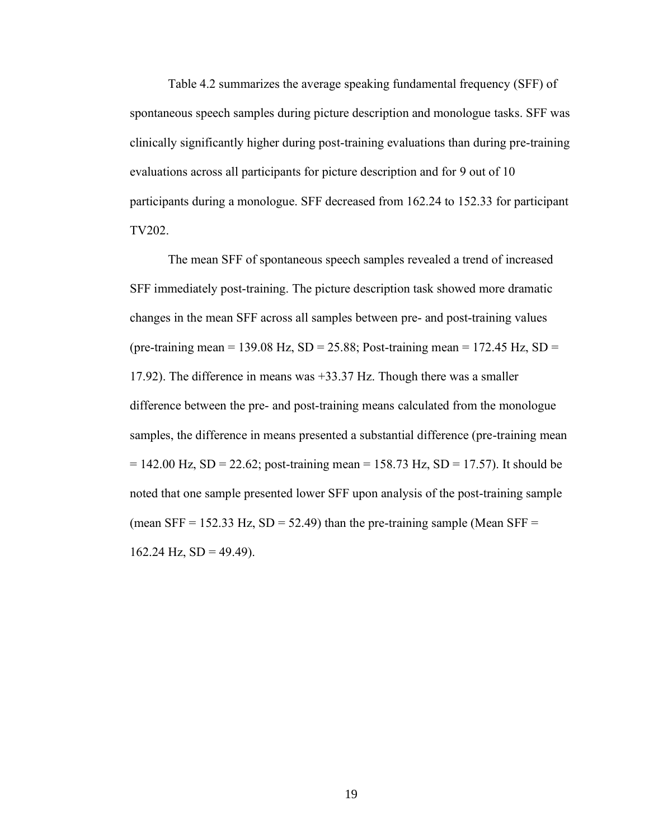Table 4.2 summarizes the average speaking fundamental frequency (SFF) of spontaneous speech samples during picture description and monologue tasks. SFF was clinically significantly higher during post-training evaluations than during pre-training evaluations across all participants for picture description and for 9 out of 10 participants during a monologue. SFF decreased from 162.24 to 152.33 for participant TV202.

The mean SFF of spontaneous speech samples revealed a trend of increased SFF immediately post-training. The picture description task showed more dramatic changes in the mean SFF across all samples between pre- and post-training values (pre-training mean = 139.08 Hz,  $SD = 25.88$ ; Post-training mean = 172.45 Hz,  $SD =$ 17.92). The difference in means was +33.37 Hz. Though there was a smaller difference between the pre- and post-training means calculated from the monologue samples, the difference in means presented a substantial difference (pre-training mean  $= 142.00$  Hz, SD = 22.62; post-training mean = 158.73 Hz, SD = 17.57). It should be noted that one sample presented lower SFF upon analysis of the post-training sample (mean SFF = 152.33 Hz, SD = 52.49) than the pre-training sample (Mean SFF =  $162.24$  Hz,  $SD = 49.49$ ).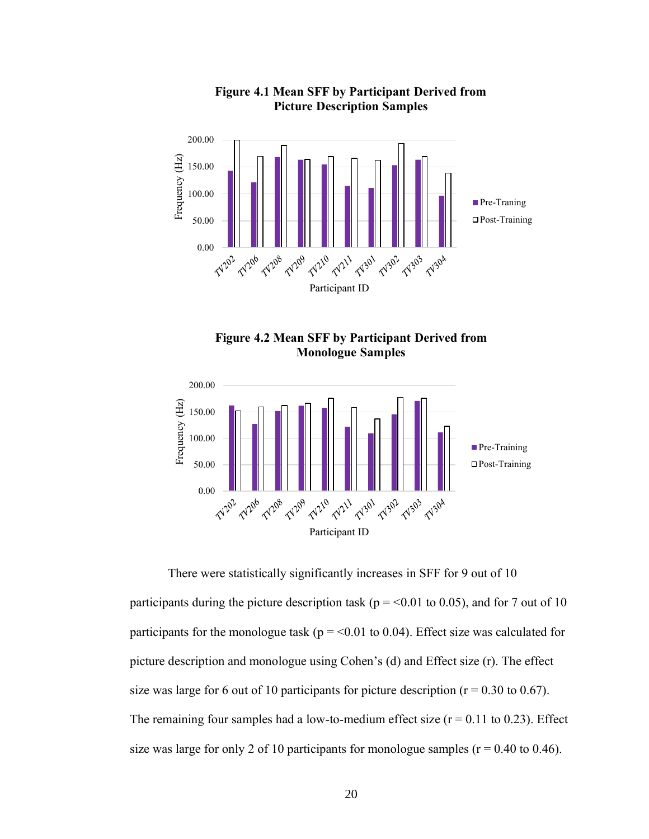

# **Figure 4.1 Mean SFF by Participant Derived from Picture Description Samples**





There were statistically significantly increases in SFF for 9 out of 10 participants during the picture description task ( $p = 0.01$  to 0.05), and for 7 out of 10 participants for the monologue task ( $p = 0.01$  to 0.04). Effect size was calculated for picture description and monologue using Cohen's (d) and Effect size (r). The effect size was large for 6 out of 10 participants for picture description ( $r = 0.30$  to 0.67). The remaining four samples had a low-to-medium effect size  $(r = 0.11$  to 0.23). Effect size was large for only 2 of 10 participants for monologue samples ( $r = 0.40$  to 0.46).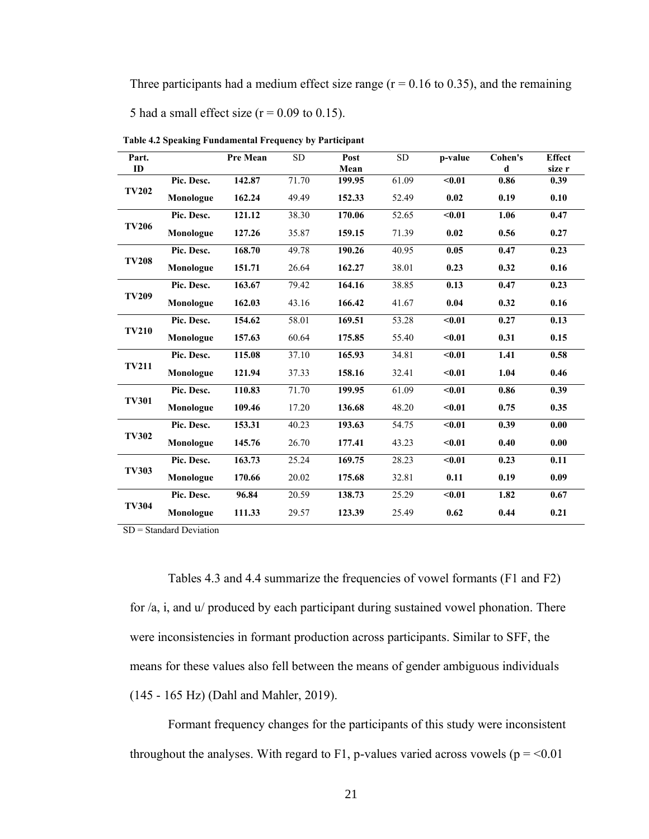Three participants had a medium effect size range ( $r = 0.16$  to 0.35), and the remaining 5 had a small effect size ( $r = 0.09$  to 0.15).

| Part.        |            | <b>Pre Mean</b> | <b>SD</b> | Post   | <b>SD</b> | p-value            | Cohen's | <b>Effect</b> |
|--------------|------------|-----------------|-----------|--------|-----------|--------------------|---------|---------------|
| ID           |            |                 |           | Mean   |           |                    | d       | size r        |
|              | Pic. Desc. | 142.87          | 71.70     | 199.95 | 61.09     | $0.01$             | 0.86    | 0.39          |
| <b>TV202</b> | Monologue  | 162.24          | 49.49     | 152.33 | 52.49     | 0.02               | 0.19    | 0.10          |
|              | Pic. Desc. | 121.12          | 38.30     | 170.06 | 52.65     | $0.01$             | 1.06    | 0.47          |
| <b>TV206</b> | Monologue  | 127.26          | 35.87     | 159.15 | 71.39     | 0.02               | 0.56    | 0.27          |
|              | Pic. Desc. | 168.70          | 49.78     | 190.26 | 40.95     | 0.05               | 0.47    | 0.23          |
| <b>TV208</b> | Monologue  | 151.71          | 26.64     | 162.27 | 38.01     | 0.23               | 0.32    | 0.16          |
|              | Pic. Desc. | 163.67          | 79.42     | 164.16 | 38.85     | 0.13               | 0.47    | 0.23          |
| <b>TV209</b> | Monologue  | 162.03          | 43.16     | 166.42 | 41.67     | 0.04               | 0.32    | 0.16          |
|              | Pic. Desc. | 154.62          | 58.01     | 169.51 | 53.28     | $0.01$             | 0.27    | 0.13          |
| <b>TV210</b> | Monologue  | 157.63          | 60.64     | 175.85 | 55.40     | $0.01$             | 0.31    | 0.15          |
|              | Pic. Desc. | 115.08          | 37.10     | 165.93 | 34.81     | $0.01$             | 1.41    | 0.58          |
| <b>TV211</b> | Monologue  | 121.94          | 37.33     | 158.16 | 32.41     | $0.01$             | 1.04    | 0.46          |
|              | Pic. Desc. | 110.83          | 71.70     | 199.95 | 61.09     | $\sqrt{0.01}$      | 0.86    | 0.39          |
| <b>TV301</b> | Monologue  | 109.46          | 17.20     | 136.68 | 48.20     | $0.01$             | 0.75    | 0.35          |
|              | Pic. Desc. | 153.31          | 40.23     | 193.63 | 54.75     | $\sqrt{0.01}$      | 0.39    | 0.00          |
| <b>TV302</b> | Monologue  | 145.76          | 26.70     | 177.41 | 43.23     | $0.01$             | 0.40    | 0.00          |
|              | Pic. Desc. | 163.73          | 25.24     | 169.75 | 28.23     | $0.01$             | 0.23    | 0.11          |
| <b>TV303</b> | Monologue  | 170.66          | 20.02     | 175.68 | 32.81     | 0.11               | 0.19    | 0.09          |
|              | Pic. Desc. | 96.84           | 20.59     | 138.73 | 25.29     | $\overline{<}0.01$ | 1.82    | 0.67          |
| <b>TV304</b> | Monologue  | 111.33          | 29.57     | 123.39 | 25.49     | 0.62               | 0.44    | 0.21          |

**Table 4.2 Speaking Fundamental Frequency by Participant**

SD = Standard Deviation

Tables 4.3 and 4.4 summarize the frequencies of vowel formants (F1 and F2) for /a, i, and u/ produced by each participant during sustained vowel phonation. There were inconsistencies in formant production across participants. Similar to SFF, the means for these values also fell between the means of gender ambiguous individuals (145 - 165 Hz) (Dahl and Mahler, 2019).

Formant frequency changes for the participants of this study were inconsistent throughout the analyses. With regard to F1, p-values varied across vowels ( $p = 0.01$ )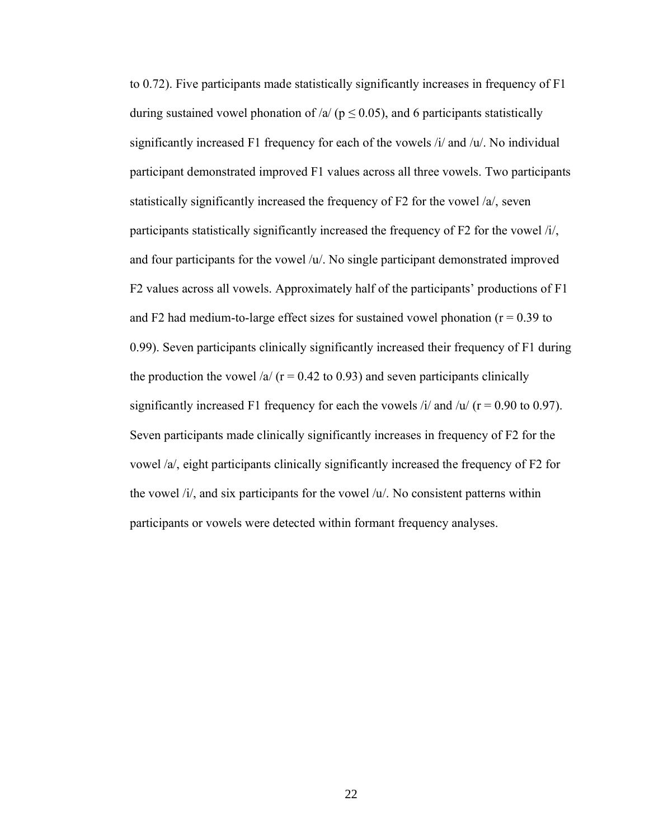to 0.72). Five participants made statistically significantly increases in frequency of F1 during sustained vowel phonation of /a/ ( $p \le 0.05$ ), and 6 participants statistically significantly increased F1 frequency for each of the vowels /i/ and /u/. No individual participant demonstrated improved F1 values across all three vowels. Two participants statistically significantly increased the frequency of F2 for the vowel /a/, seven participants statistically significantly increased the frequency of F2 for the vowel /i/, and four participants for the vowel  $/u'$ . No single participant demonstrated improved F2 values across all vowels. Approximately half of the participants' productions of F1 and F2 had medium-to-large effect sizes for sustained vowel phonation ( $r = 0.39$  to 0.99). Seven participants clinically significantly increased their frequency of F1 during the production the vowel /a/  $(r = 0.42$  to 0.93) and seven participants clinically significantly increased F1 frequency for each the vowels  $\frac{1}{4}$  and  $\frac{1}{u}$  (r = 0.90 to 0.97). Seven participants made clinically significantly increases in frequency of F2 for the vowel /a/, eight participants clinically significantly increased the frequency of F2 for the vowel  $\lambda i$ , and six participants for the vowel  $\lambda u$ . No consistent patterns within participants or vowels were detected within formant frequency analyses.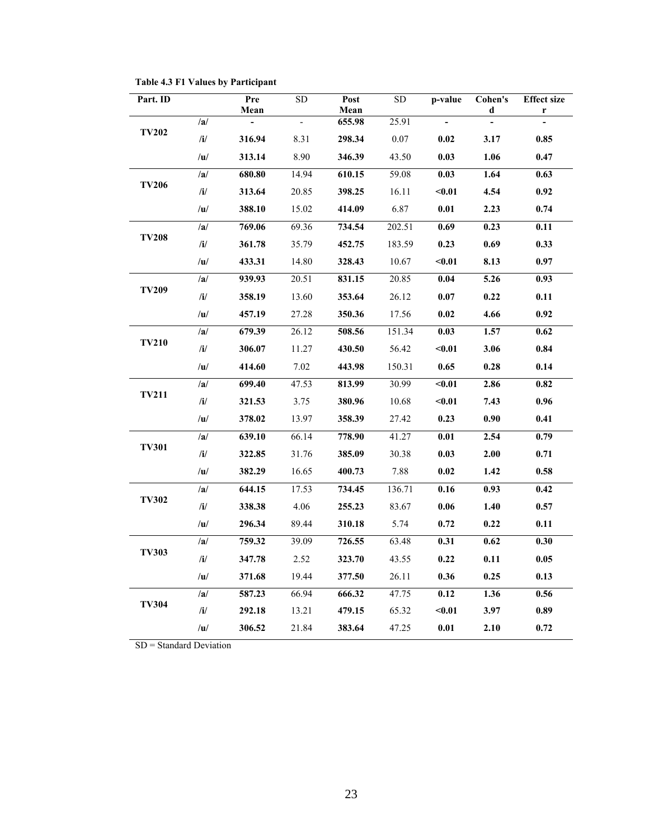| Part. ID     |           | Pre<br>Mean              | SD           | Post<br>Mean | SD     | p-value                  | Cohen's<br>d   | <b>Effect size</b><br>r |
|--------------|-----------|--------------------------|--------------|--------------|--------|--------------------------|----------------|-------------------------|
|              | /a/       | $\overline{\phantom{a}}$ | $\mathbb{L}$ | 655.98       | 25.91  | $\overline{\phantom{a}}$ | $\overline{a}$ |                         |
| <b>TV202</b> | /i/       | 316.94                   | 8.31         | 298.34       | 0.07   | 0.02                     | 3.17           | 0.85                    |
|              | /u/       | 313.14                   | 8.90         | 346.39       | 43.50  | 0.03                     | 1.06           | 0.47                    |
|              | /a/       | 680.80                   | 14.94        | 610.15       | 59.08  | 0.03                     | 1.64           | 0.63                    |
| <b>TV206</b> | /i/       | 313.64                   | 20.85        | 398.25       | 16.11  | $0.01$                   | 4.54           | 0.92                    |
|              | /u/       | 388.10                   | 15.02        | 414.09       | 6.87   | 0.01                     | 2.23           | 0.74                    |
|              | /a/       | 769.06                   | 69.36        | 734.54       | 202.51 | 0.69                     | 0.23           | 0.11                    |
| <b>TV208</b> | $/$ i $/$ | 361.78                   | 35.79        | 452.75       | 183.59 | 0.23                     | 0.69           | 0.33                    |
|              | u         | 433.31                   | 14.80        | 328.43       | 10.67  | $0.01$                   | 8.13           | 0.97                    |
|              | /a/       | 939.93                   | 20.51        | 831.15       | 20.85  | 0.04                     | 5.26           | 0.93                    |
| <b>TV209</b> | /i/       | 358.19                   | 13.60        | 353.64       | 26.12  | 0.07                     | 0.22           | 0.11                    |
|              | /u/       | 457.19                   | 27.28        | 350.36       | 17.56  | 0.02                     | 4.66           | 0.92                    |
|              | /a/       | 679.39                   | 26.12        | 508.56       | 151.34 | 0.03                     | 1.57           | 0.62                    |
| <b>TV210</b> | /i/       | 306.07                   | 11.27        | 430.50       | 56.42  | $0.01$                   | 3.06           | 0.84                    |
|              | /u/       | 414.60                   | 7.02         | 443.98       | 150.31 | 0.65                     | 0.28           | 0.14                    |
|              | /a/       | 699.40                   | 47.53        | 813.99       | 30.99  | $0.01$                   | 2.86           | 0.82                    |
| <b>TV211</b> | $/$ i $/$ | 321.53                   | 3.75         | 380.96       | 10.68  | $0.01$                   | 7.43           | 0.96                    |
|              | /u/       | 378.02                   | 13.97        | 358.39       | 27.42  | 0.23                     | 0.90           | 0.41                    |
|              | /a/       | 639.10                   | 66.14        | 778.90       | 41.27  | 0.01                     | 2.54           | 0.79                    |
| <b>TV301</b> | /i/       | 322.85                   | 31.76        | 385.09       | 30.38  | 0.03                     | 2.00           | 0.71                    |
|              | u         | 382.29                   | 16.65        | 400.73       | 7.88   | 0.02                     | 1.42           | 0.58                    |
|              | /a/       | 644.15                   | 17.53        | 734.45       | 136.71 | 0.16                     | 0.93           | 0.42                    |
| <b>TV302</b> | $/$ i $/$ | 338.38                   | 4.06         | 255.23       | 83.67  | 0.06                     | 1.40           | 0.57                    |
|              | /u/       | 296.34                   | 89.44        | 310.18       | 5.74   | 0.72                     | 0.22           | 0.11                    |
|              | /a/       | 759.32                   | 39.09        | 726.55       | 63.48  | 0.31                     | 0.62           | 0.30                    |
| <b>TV303</b> | /i/       | 347.78                   | 2.52         | 323.70       | 43.55  | 0.22                     | 0.11           | 0.05                    |
|              | /u/       | 371.68                   | 19.44        | 377.50       | 26.11  | 0.36                     | 0.25           | 0.13                    |
|              | /a/       | 587.23                   | 66.94        | 666.32       | 47.75  | 0.12                     | 1.36           | 0.56                    |
| <b>TV304</b> | /i/       | 292.18                   | 13.21        | 479.15       | 65.32  | $0.01$                   | 3.97           | 0.89                    |
|              | /u/       | 306.52                   | 21.84        | 383.64       | 47.25  | $0.01\,$                 | 2.10           | 0.72                    |

**Table 4.3 F1 Values by Participant**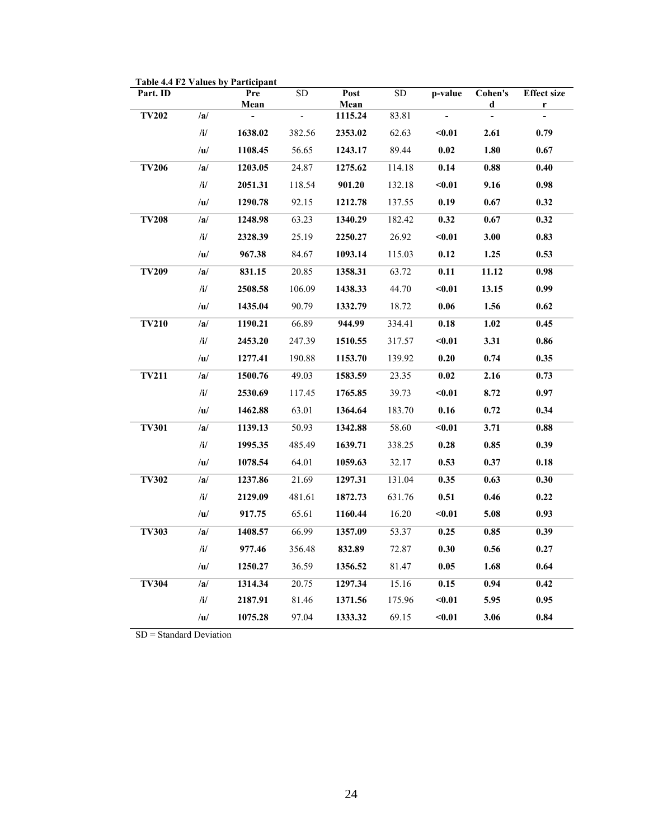| Part. ID     |                  | Pre     | ${\rm SD}$               | Post            | SD     | p-value                  | Cohen's | <b>Effect size</b> |
|--------------|------------------|---------|--------------------------|-----------------|--------|--------------------------|---------|--------------------|
| <b>TV202</b> | /a/              | Mean    | $\overline{\phantom{a}}$ | Mean<br>1115.24 | 83.81  | $\overline{\phantom{a}}$ | d       | r                  |
|              | /i/              | 1638.02 | 382.56                   | 2353.02         | 62.63  | $0.01$                   | 2.61    | 0.79               |
|              |                  |         |                          |                 |        |                          |         |                    |
|              | / $\mathbf{u}$ / | 1108.45 | 56.65                    | 1243.17         | 89.44  | $0.02\,$                 | 1.80    | 0.67               |
| <b>TV206</b> | /a/              | 1203.05 | 24.87                    | 1275.62         | 114.18 | 0.14                     | 0.88    | 0.40               |
|              | /i/              | 2051.31 | 118.54                   | 901.20          | 132.18 | $0.01$                   | 9.16    | 0.98               |
|              | /u/              | 1290.78 | 92.15                    | 1212.78         | 137.55 | 0.19                     | 0.67    | 0.32               |
| <b>TV208</b> | /a/              | 1248.98 | 63.23                    | 1340.29         | 182.42 | 0.32                     | 0.67    | 0.32               |
|              | /i/              | 2328.39 | 25.19                    | 2250.27         | 26.92  | $0.01$                   | 3.00    | 0.83               |
|              | /u/              | 967.38  | 84.67                    | 1093.14         | 115.03 | 0.12                     | 1.25    | 0.53               |
| TV209        | /a/              | 831.15  | 20.85                    | 1358.31         | 63.72  | 0.11                     | 11.12   | $\overline{0.98}$  |
|              | /i/              | 2508.58 | 106.09                   | 1438.33         | 44.70  | $0.01$                   | 13.15   | 0.99               |
|              | /u/              | 1435.04 | 90.79                    | 1332.79         | 18.72  | $0.06\,$                 | 1.56    | 0.62               |
| <b>TV210</b> | /a/              | 1190.21 | 66.89                    | 944.99          | 334.41 | 0.18                     | 1.02    | 0.45               |
|              | /i/              | 2453.20 | 247.39                   | 1510.55         | 317.57 | $0.01$                   | 3.31    | $\bf 0.86$         |
|              | /u/              | 1277.41 | 190.88                   | 1153.70         | 139.92 | 0.20                     | 0.74    | 0.35               |
| <b>TV211</b> | /a/              | 1500.76 | 49.03                    | 1583.59         | 23.35  | $\bf{0.02}$              | 2.16    | 0.73               |
|              | /i/              | 2530.69 | 117.45                   | 1765.85         | 39.73  | $0.01$                   | 8.72    | 0.97               |
|              | /u/              | 1462.88 | 63.01                    | 1364.64         | 183.70 | 0.16                     | 0.72    | 0.34               |
| <b>TV301</b> | /a/              | 1139.13 | 50.93                    | 1342.88         | 58.60  | $0.01$                   | 3.71    | 0.88               |
|              | /i/              | 1995.35 | 485.49                   | 1639.71         | 338.25 | 0.28                     | 0.85    | 0.39               |
|              | /u/              | 1078.54 | 64.01                    | 1059.63         | 32.17  | 0.53                     | 0.37    | 0.18               |
| <b>TV302</b> | /a/              | 1237.86 | 21.69                    | 1297.31         | 131.04 | 0.35                     | 0.63    | 0.30               |
|              | /i/              | 2129.09 | 481.61                   | 1872.73         | 631.76 | 0.51                     | 0.46    | 0.22               |
|              | /u/              | 917.75  | 65.61                    | 1160.44         | 16.20  | $0.01$                   | 5.08    | 0.93               |
| <b>TV303</b> | /a/              | 1408.57 | 66.99                    | 1357.09         | 53.37  | 0.25                     | 0.85    | 0.39               |
|              | /i/              | 977.46  | 356.48                   | 832.89          | 72.87  | 0.30                     | 0.56    | 0.27               |
|              | /u/              | 1250.27 | 36.59                    | 1356.52         | 81.47  | 0.05                     | 1.68    | 0.64               |
| <b>TV304</b> | /a/              | 1314.34 | 20.75                    | 1297.34         | 15.16  | 0.15                     | 0.94    | 0.42               |
|              | /i/              | 2187.91 | 81.46                    | 1371.56         | 175.96 | $0.01$                   | 5.95    | 0.95               |
|              | /u/              | 1075.28 | 97.04                    | 1333.32         | 69.15  | $0.01$                   | 3.06    | 0.84               |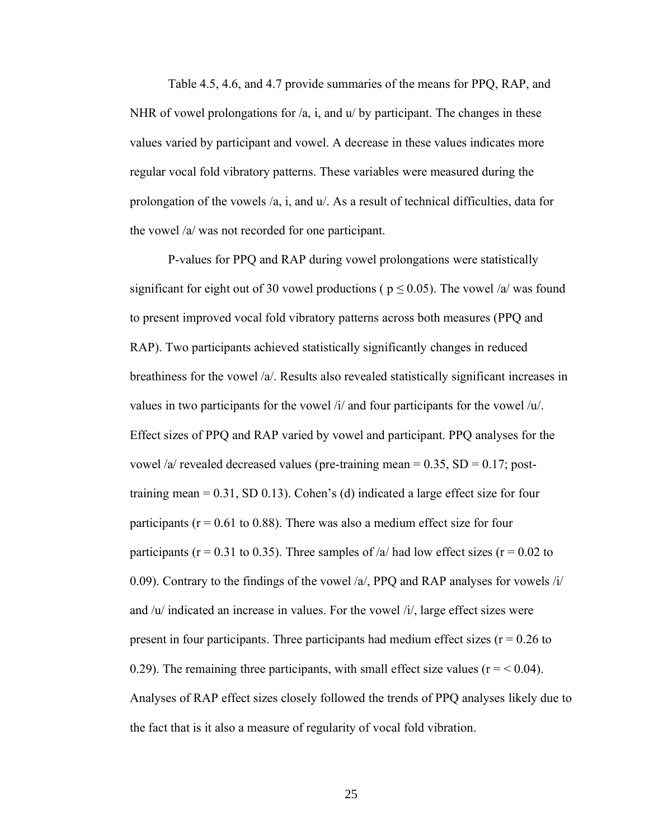Table 4.5, 4.6, and 4.7 provide summaries of the means for PPQ, RAP, and NHR of vowel prolongations for  $\alpha$ , i, and  $\alpha$  by participant. The changes in these values varied by participant and vowel. A decrease in these values indicates more regular vocal fold vibratory patterns. These variables were measured during the prolongation of the vowels /a, i, and u/. As a result of technical difficulties, data for the vowel /a/ was not recorded for one participant.

P-values for PPQ and RAP during vowel prolongations were statistically significant for eight out of 30 vowel productions ( $p \le 0.05$ ). The vowel /a/ was found to present improved vocal fold vibratory patterns across both measures (PPQ and RAP). Two participants achieved statistically significantly changes in reduced breathiness for the vowel /a/. Results also revealed statistically significant increases in values in two participants for the vowel /i/ and four participants for the vowel /u/. Effect sizes of PPQ and RAP varied by vowel and participant. PPQ analyses for the vowel /a/ revealed decreased values (pre-training mean =  $0.35$ , SD =  $0.17$ ; posttraining mean  $= 0.31$ , SD 0.13). Cohen's (d) indicated a large effect size for four participants ( $r = 0.61$  to 0.88). There was also a medium effect size for four participants ( $r = 0.31$  to 0.35). Three samples of /a/ had low effect sizes ( $r = 0.02$  to 0.09). Contrary to the findings of the vowel  $\alpha$ , PPQ and RAP analyses for vowels  $\alpha$ and /u/ indicated an increase in values. For the vowel /i/, large effect sizes were present in four participants. Three participants had medium effect sizes  $(r = 0.26$  to 0.29). The remaining three participants, with small effect size values ( $r = < 0.04$ ). Analyses of RAP effect sizes closely followed the trends of PPQ analyses likely due to the fact that is it also a measure of regularity of vocal fold vibration.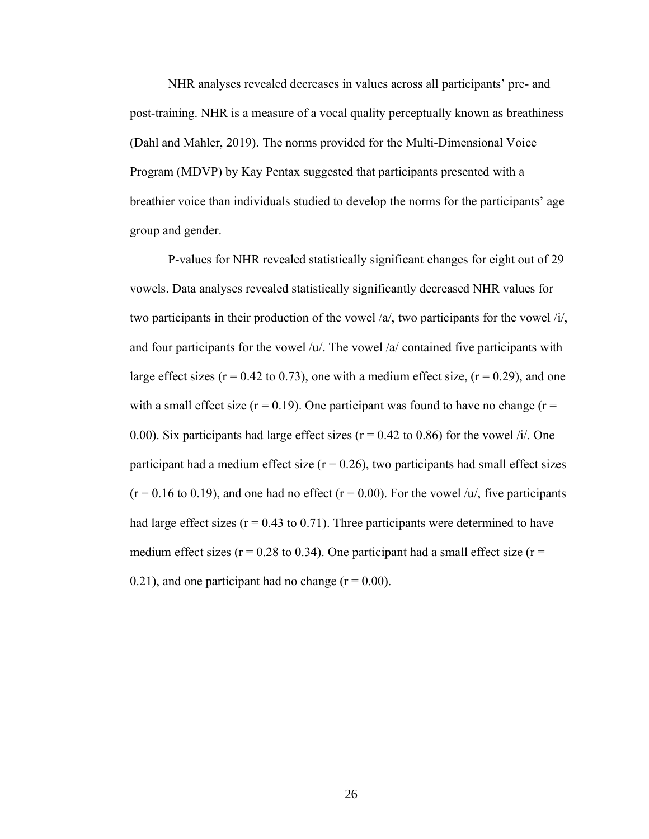NHR analyses revealed decreases in values across all participants' pre- and post-training. NHR is a measure of a vocal quality perceptually known as breathiness (Dahl and Mahler, 2019). The norms provided for the Multi-Dimensional Voice Program (MDVP) by Kay Pentax suggested that participants presented with a breathier voice than individuals studied to develop the norms for the participants' age group and gender.

P-values for NHR revealed statistically significant changes for eight out of 29 vowels. Data analyses revealed statistically significantly decreased NHR values for two participants in their production of the vowel /a/, two participants for the vowel /i/, and four participants for the vowel /u/. The vowel /a/ contained five participants with large effect sizes ( $r = 0.42$  to 0.73), one with a medium effect size, ( $r = 0.29$ ), and one with a small effect size ( $r = 0.19$ ). One participant was found to have no change ( $r =$ 0.00). Six participants had large effect sizes ( $r = 0.42$  to 0.86) for the vowel /i/. One participant had a medium effect size  $(r = 0.26)$ , two participants had small effect sizes  $(r = 0.16 \text{ to } 0.19)$ , and one had no effect  $(r = 0.00)$ . For the vowel /u/, five participants had large effect sizes ( $r = 0.43$  to 0.71). Three participants were determined to have medium effect sizes ( $r = 0.28$  to 0.34). One participant had a small effect size ( $r =$ 0.21), and one participant had no change  $(r = 0.00)$ .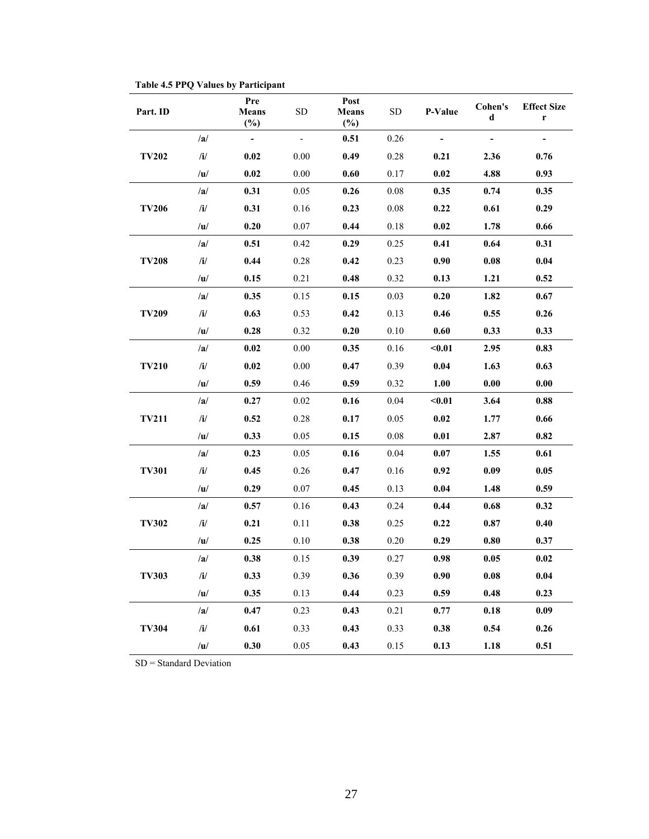| Part. ID     |                | Pre<br>Means<br>$(\%)$   | <b>SD</b> | Post<br><b>Means</b><br>$(\%)$ | <b>SD</b> | P-Value | Cohen's<br>d | <b>Effect Size</b><br>r |
|--------------|----------------|--------------------------|-----------|--------------------------------|-----------|---------|--------------|-------------------------|
|              | /a/            | $\overline{\phantom{0}}$ |           | 0.51                           | 0.26      |         |              |                         |
| <b>TV202</b> | $\mathbf{ii}/$ | 0.02                     | 0.00      | 0.49                           | 0.28      | 0.21    | 2.36         | 0.76                    |
|              | /u/            | 0.02                     | 0.00      | 0.60                           | 0.17      | 0.02    | 4.88         | 0.93                    |
|              | /a/            | 0.31                     | 0.05      | 0.26                           | 0.08      | 0.35    | 0.74         | 0.35                    |
| <b>TV206</b> | /i/            | 0.31                     | 0.16      | 0.23                           | 0.08      | 0.22    | 0.61         | 0.29                    |
|              | /u/            | 0.20                     | 0.07      | 0.44                           | 0.18      | 0.02    | 1.78         | 0.66                    |
|              | /a/            | 0.51                     | 0.42      | 0.29                           | 0.25      | 0.41    | 0.64         | 0.31                    |
| <b>TV208</b> | /i/            | 0.44                     | 0.28      | 0.42                           | 0.23      | 0.90    | 0.08         | 0.04                    |
|              | /u/            | 0.15                     | 0.21      | 0.48                           | 0.32      | 0.13    | 1.21         | 0.52                    |
|              | /a/            | 0.35                     | 0.15      | 0.15                           | 0.03      | 0.20    | 1.82         | 0.67                    |
| <b>TV209</b> | /i/            | 0.63                     | 0.53      | 0.42                           | 0.13      | 0.46    | 0.55         | 0.26                    |
|              | /u/            | 0.28                     | 0.32      | 0.20                           | 0.10      | 0.60    | 0.33         | 0.33                    |
| <b>TV210</b> | /a/            | 0.02                     | 0.00      | 0.35                           | 0.16      | $0.01$  | 2.95         | 0.83                    |
|              | /i/            | 0.02                     | 0.00      | 0.47                           | 0.39      | 0.04    | 1.63         | 0.63                    |
|              | u              | 0.59                     | 0.46      | 0.59                           | 0.32      | 1.00    | 0.00         | 0.00                    |
|              | /a/            | 0.27                     | 0.02      | 0.16                           | 0.04      | $0.01$  | 3.64         | 0.88                    |
| <b>TV211</b> | /i/            | 0.52                     | 0.28      | 0.17                           | 0.05      | 0.02    | 1.77         | 0.66                    |
|              | /u/            | 0.33                     | 0.05      | 0.15                           | 0.08      | 0.01    | 2.87         | 0.82                    |
|              | /a/            | 0.23                     | 0.05      | 0.16                           | 0.04      | 0.07    | 1.55         | 0.61                    |
| <b>TV301</b> | /i/            | 0.45                     | 0.26      | 0.47                           | 0.16      | 0.92    | 0.09         | 0.05                    |
|              | /u/            | 0.29                     | 0.07      | 0.45                           | 0.13      | 0.04    | 1.48         | 0.59                    |
|              | /a/            | 0.57                     | 0.16      | 0.43                           | 0.24      | 0.44    | 0.68         | 0.32                    |
| <b>TV302</b> | /i/            | 0.21                     | 0.11      | 0.38                           | 0.25      | 0.22    | 0.87         | 0.40                    |
|              | /u/            | 0.25                     | 0.10      | 0.38                           | 0.20      | 0.29    | 0.80         | 0.37                    |
|              | /a/            | 0.38                     | 0.15      | 0.39                           | 0.27      | 0.98    | 0.05         | 0.02                    |
| <b>TV303</b> | /i/            | 0.33                     | 0.39      | 0.36                           | 0.39      | 0.90    | 0.08         | 0.04                    |
|              | /u/            | 0.35                     | 0.13      | 0.44                           | 0.23      | 0.59    | 0.48         | 0.23                    |
|              | /a/            | 0.47                     | 0.23      | 0.43                           | 0.21      | 0.77    | 0.18         | 0.09                    |
| <b>TV304</b> | /i/            | 0.61                     | 0.33      | 0.43                           | 0.33      | 0.38    | 0.54         | 0.26                    |
|              | /u/            | 0.30                     | $0.05\,$  | 0.43                           | 0.15      | 0.13    | 1.18         | 0.51                    |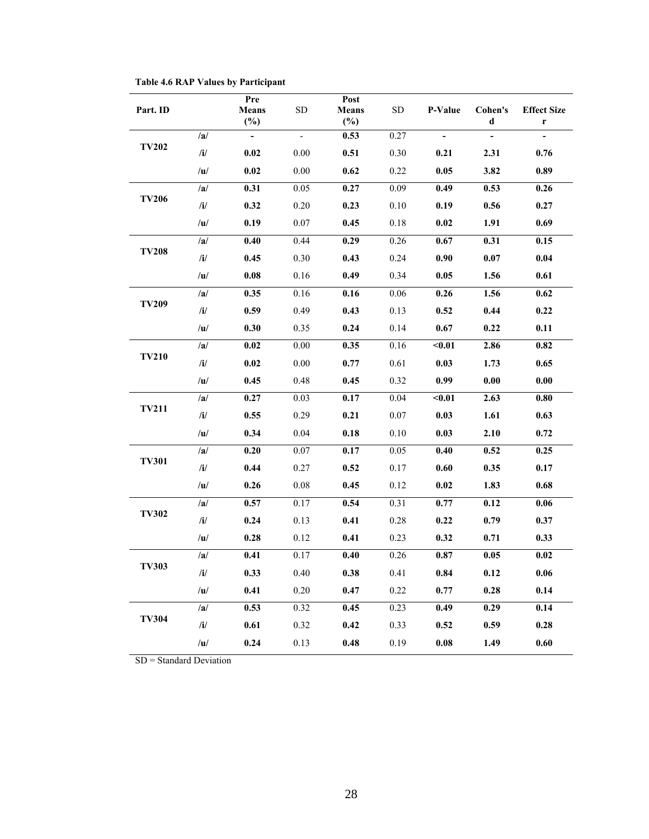| Part. ID     |              | Pre<br><b>Means</b><br>$(\%)$ | <b>SD</b> | Post<br><b>Means</b><br>$(\%)$ | <b>SD</b> | P-Value             | Cohen's<br>d             | <b>Effect Size</b><br>r |
|--------------|--------------|-------------------------------|-----------|--------------------------------|-----------|---------------------|--------------------------|-------------------------|
|              | /a/          | $\overline{\phantom{a}}$      | -         | 0.53                           | 0.27      |                     | $\overline{\phantom{0}}$ |                         |
| <b>TV202</b> | $\mathbf{i}$ | 0.02                          | 0.00      | 0.51                           | 0.30      | 0.21                | 2.31                     | 0.76                    |
|              | /u/          | 0.02                          | 0.00      | 0.62                           | 0.22      | 0.05                | 3.82                     | 0.89                    |
|              | /a/          | 0.31                          | 0.05      | 0.27                           | 0.09      | 0.49                | 0.53                     | 0.26                    |
| <b>TV206</b> | $\mathbf{h}$ | 0.32                          | 0.20      | 0.23                           | 0.10      | 0.19                | 0.56                     | 0.27                    |
|              | /u/          | 0.19                          | 0.07      | 0.45                           | 0.18      | 0.02                | 1.91                     | 0.69                    |
|              | /a/          | 0.40                          | 0.44      | 0.29                           | 0.26      | 0.67                | 0.31                     | 0.15                    |
| <b>TV208</b> | $\mathbf{h}$ | 0.45                          | 0.30      | 0.43                           | 0.24      | 0.90                | 0.07                     | 0.04                    |
|              | /u/          | 0.08                          | 0.16      | 0.49                           | 0.34      | 0.05                | 1.56                     | 0.61                    |
|              | /a/          | 0.35                          | 0.16      | 0.16                           | 0.06      | 0.26                | 1.56                     | 0.62                    |
| <b>TV209</b> | /i/          | 0.59                          | 0.49      | 0.43                           | 0.13      | 0.52                | 0.44                     | 0.22                    |
|              | /u/          | 0.30                          | 0.35      | 0.24                           | 0.14      | 0.67                | 0.22                     | 0.11                    |
|              | /a/          | 0.02                          | 0.00      | 0.35                           | 0.16      | $0.01$              | 2.86                     | 0.82                    |
| <b>TV210</b> | $\mathbf{i}$ | $0.02\,$                      | 0.00      | 0.77                           | 0.61      | 0.03                | 1.73                     | 0.65                    |
|              | /u/          | 0.45                          | 0.48      | 0.45                           | 0.32      | 0.99                | 0.00                     | 0.00                    |
|              | /a/          | 0.27                          | 0.03      | 0.17                           | 0.04      | $0.01$<br>0.03      | 2.63                     | 0.80                    |
| <b>TV211</b> | $\mathbf{i}$ | 0.55                          | 0.29      | 0.21                           | 0.07      |                     | 1.61                     | 0.63                    |
|              | /u/          | 0.34                          | 0.04      | 0.18                           | 0.10      | 0.03                | 2.10                     | 0.72                    |
|              | /a/          | 0.20                          | 0.07      | 0.17                           | 0.05      | 0.40                | 0.52                     | 0.25                    |
| <b>TV301</b> | $\mathbf{i}$ | 0.44                          | 0.27      | 0.52                           | 0.17      | 0.60                | 0.35                     | 0.17                    |
|              | /u/          | 0.26                          | 0.08      | 0.45                           | 0.12      | 0.02                | 1.83                     | 0.68                    |
|              | /a/          | 0.57                          | 0.17      | 0.54                           | 0.31      | 0.77                | 0.12                     | 0.06                    |
| <b>TV302</b> | $\mathbf{i}$ | 0.24                          | 0.13      | 0.41                           | 0.28      | 0.22                | 0.79                     | 0.37                    |
|              | /u/          | 0.28                          | 0.12      | 0.41                           | 0.23      | 0.32                | 0.71                     | 0.33                    |
|              | /a/          | 0.41                          | 0.17      | 0.40                           | 0.26      | 0.87                | 0.05                     | 0.02                    |
| <b>TV303</b> | $\mathbf{i}$ | 0.33                          | 0.40      | 0.38                           | 0.41      | 0.84                | 0.12                     | 0.06                    |
|              | /u/          | 0.41                          | 0.20      | 0.47                           | 0.22      | 0.77                | 0.28                     | 0.14                    |
|              | /a/          | 0.53                          | 0.32      | 0.45                           | 0.23      | 0.49                | 0.29                     | $\overline{0.14}$       |
| <b>TV304</b> | /i/          | 0.61                          | 0.32      | 0.42                           | 0.33      | 0.52                | 0.59                     | 0.28                    |
|              | /u/          | 0.24                          | 0.13      | 0.48                           | 0.19      | $\boldsymbol{0.08}$ | 1.49                     | $0.60\,$                |

**Table 4.6 RAP Values by Participant**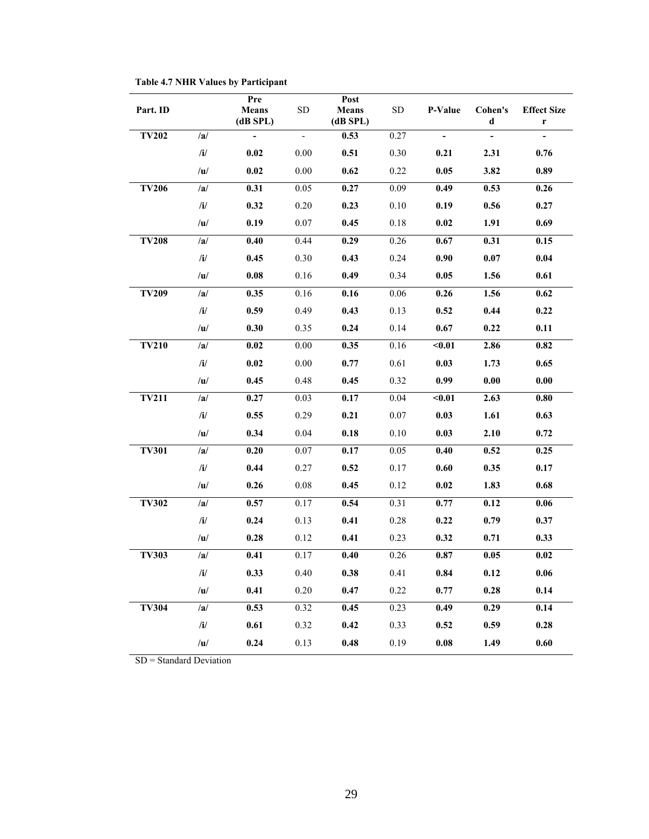| Part. ID     |              | Pre<br><b>Means</b><br>(dB SPL) | <b>SD</b>                | Post<br><b>Means</b><br>$(dB$ SPL $)$ | <b>SD</b> | P-Value                  | Cohen's<br>d             | <b>Effect Size</b><br>$\mathbf r$ |
|--------------|--------------|---------------------------------|--------------------------|---------------------------------------|-----------|--------------------------|--------------------------|-----------------------------------|
| <b>TV202</b> | /a/          | $\Box$                          | $\overline{\phantom{0}}$ | 0.53                                  | 0.27      | $\overline{\phantom{a}}$ | $\overline{\phantom{a}}$ | $\overline{\phantom{0}}$          |
|              | $/$ i $/$    | 0.02                            | 0.00                     | 0.51                                  | 0.30      | 0.21                     | 2.31                     | 0.76                              |
|              | /u/          | 0.02                            | 0.00                     | 0.62                                  | 0.22      | 0.05                     | 3.82                     | 0.89                              |
| <b>TV206</b> | /a/          | 0.31                            | 0.05                     | 0.27                                  | 0.09      | 0.49                     | 0.53                     | 0.26                              |
|              | /i/          | 0.32                            | 0.20                     | 0.23                                  | 0.10      | 0.19                     | 0.56                     | 0.27                              |
|              | /u/          | 0.19                            | 0.07                     | 0.45                                  | 0.18      | 0.02                     | 1.91                     | 0.69                              |
| <b>TV208</b> | /a/          | 0.40                            | 0.44                     | 0.29                                  | 0.26      | 0.67                     | 0.31                     | 0.15                              |
|              | /i/          | 0.45                            | $0.30\,$                 | 0.43                                  | 0.24      | 0.90                     | $0.07\,$                 | 0.04                              |
|              | /u/          | 0.08                            | 0.16                     | 0.49                                  | 0.34      | 0.05                     | 1.56                     | 0.61                              |
| <b>TV209</b> | /a/          | 0.35                            | 0.16                     | 0.16                                  | 0.06      | 0.26                     | 1.56                     | 0.62                              |
|              | /i/          | 0.59                            | 0.49                     | 0.43                                  | 0.13      | 0.52                     | 0.44                     | 0.22                              |
|              | /u/          | 0.30                            | 0.35                     | 0.24                                  | 0.14      | 0.67                     | 0.22                     | 0.11                              |
| <b>TV210</b> | /a/          | 0.02                            | $0.00\,$                 | 0.35                                  | 0.16      | $0.01$                   | 2.86                     | 0.82                              |
|              | $/$ i $/$    | 0.02                            | 0.00                     | 0.77                                  | 0.61      | 0.03                     | 1.73                     | 0.65                              |
|              | /u/          | 0.45                            | 0.48                     | 0.45                                  | 0.32      | 0.99                     | $\boldsymbol{0.00}$      | 0.00                              |
| <b>TV211</b> | /a/          | $\overline{0.27}$               | 0.03                     | 0.17                                  | 0.04      | $0.01$                   | 2.63                     | 0.80                              |
|              | $/$ i $/$    | 0.55                            | 0.29                     | 0.21                                  | 0.07      | 0.03                     | 1.61                     | 0.63                              |
|              | /u/          | 0.34                            | 0.04                     | 0.18                                  | 0.10      | 0.03                     | 2.10                     | 0.72                              |
| <b>TV301</b> | /a/          | 0.20                            | 0.07                     | 0.17                                  | 0.05      | 0.40                     | 0.52                     | 0.25                              |
|              | /i/          | 0.44                            | 0.27                     | 0.52                                  | 0.17      | 0.60                     | 0.35                     | 0.17                              |
|              | /u/          | 0.26                            | 0.08                     | 0.45                                  | 0.12      | 0.02                     | 1.83                     | 0.68                              |
| <b>TV302</b> | /a/          | 0.57                            | 0.17                     | 0.54                                  | 0.31      | 0.77                     | 0.12                     | 0.06                              |
|              | $\mathbf{i}$ | 0.24                            | 0.13                     | 0.41                                  | $0.28\,$  | 0.22                     | 0.79                     | 0.37                              |
|              | /u/          | 0.28                            | 0.12                     | 0.41                                  | 0.23      | 0.32                     | 0.71                     | 0.33                              |
| <b>TV303</b> | /a/          | 0.41                            | 0.17                     | 0.40                                  | 0.26      | $\mathbf{0.87}$          | 0.05                     | 0.02                              |
|              | /i/          | 0.33                            | 0.40                     | 0.38                                  | 0.41      | 0.84                     | 0.12                     | 0.06                              |
|              | /u/          | 0.41                            | 0.20                     | 0.47                                  | 0.22      | 0.77                     | 0.28                     | 0.14                              |
| <b>TV304</b> | /a/          | 0.53                            | 0.32                     | 0.45                                  | 0.23      | 0.49                     | 0.29                     | $\overline{0.14}$                 |
|              | /i/          | 0.61                            | 0.32                     | 0.42                                  | 0.33      | 0.52                     | 0.59                     | 0.28                              |
|              | /u/          | 0.24                            | 0.13                     | 0.48                                  | 0.19      | $\boldsymbol{0.08}$      | 1.49                     | $0.60\,$                          |

**Table 4.7 NHR Values by Participant**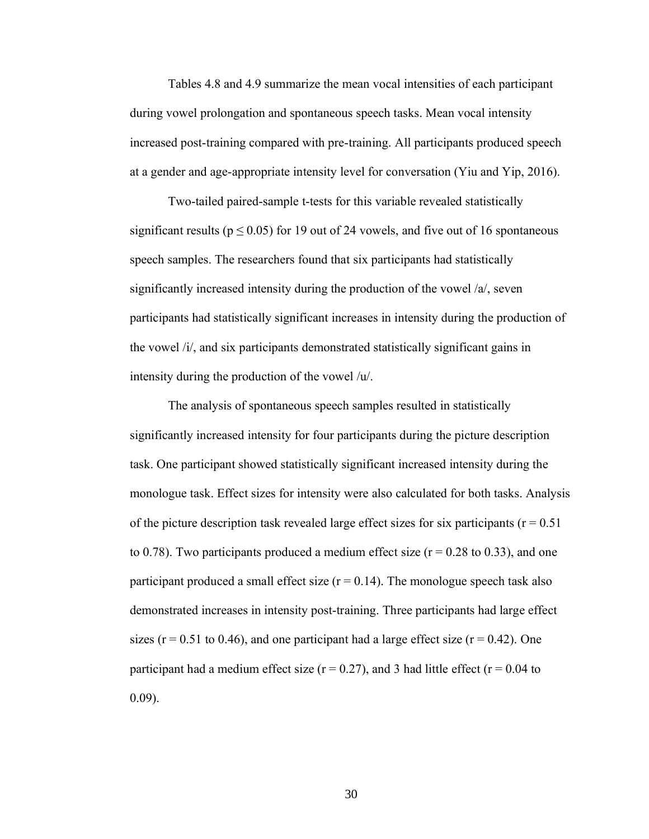Tables 4.8 and 4.9 summarize the mean vocal intensities of each participant during vowel prolongation and spontaneous speech tasks. Mean vocal intensity increased post-training compared with pre-training. All participants produced speech at a gender and age-appropriate intensity level for conversation (Yiu and Yip, 2016).

Two-tailed paired-sample t-tests for this variable revealed statistically significant results ( $p \le 0.05$ ) for 19 out of 24 vowels, and five out of 16 spontaneous speech samples. The researchers found that six participants had statistically significantly increased intensity during the production of the vowel /a/, seven participants had statistically significant increases in intensity during the production of the vowel /i/, and six participants demonstrated statistically significant gains in intensity during the production of the vowel /u/.

The analysis of spontaneous speech samples resulted in statistically significantly increased intensity for four participants during the picture description task. One participant showed statistically significant increased intensity during the monologue task. Effect sizes for intensity were also calculated for both tasks. Analysis of the picture description task revealed large effect sizes for six participants ( $r = 0.51$ ) to 0.78). Two participants produced a medium effect size ( $r = 0.28$  to 0.33), and one participant produced a small effect size  $(r = 0.14)$ . The monologue speech task also demonstrated increases in intensity post-training. Three participants had large effect sizes ( $r = 0.51$  to 0.46), and one participant had a large effect size ( $r = 0.42$ ). One participant had a medium effect size ( $r = 0.27$ ), and 3 had little effect ( $r = 0.04$  to 0.09).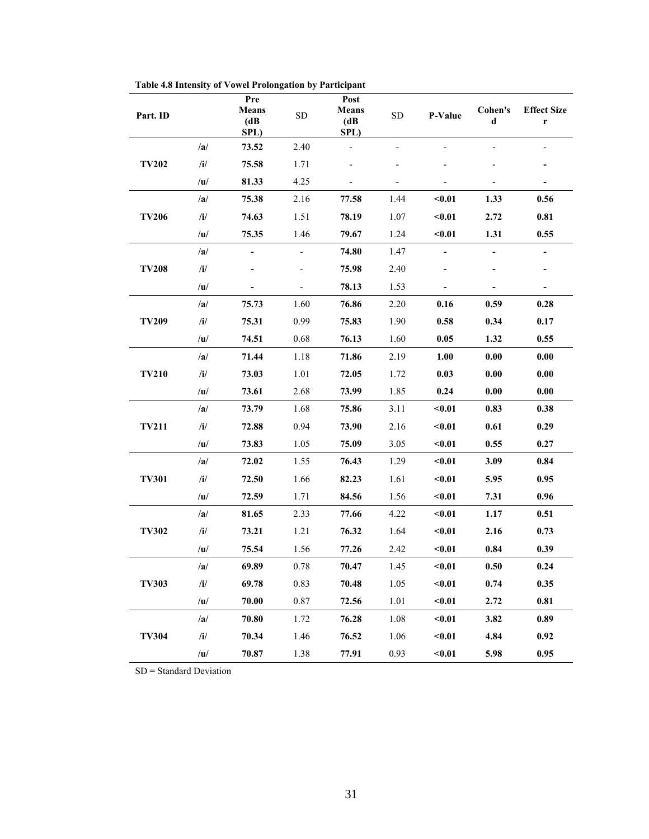| Part. ID     |     | Pre<br><b>Means</b><br>(dB)<br>SPL) | ${\rm SD}$               | Post<br><b>Means</b><br>(dB)<br>SPL) | ${\rm SD}$ | P-Value                  | Cohen's<br>d             | <b>Effect Size</b><br>r  |
|--------------|-----|-------------------------------------|--------------------------|--------------------------------------|------------|--------------------------|--------------------------|--------------------------|
|              | /a/ | 73.52                               | 2.40                     |                                      |            |                          |                          |                          |
| <b>TV202</b> | /i/ | 75.58                               | 1.71                     |                                      |            |                          |                          |                          |
|              | /u/ | 81.33                               | 4.25                     |                                      |            |                          |                          |                          |
|              | /a/ | 75.38                               | 2.16                     | 77.58                                | 1.44       | $0.01$                   | 1.33                     | 0.56                     |
| <b>TV206</b> | /i/ | 74.63                               | 1.51                     | 78.19                                | 1.07       | $0.01$                   | 2.72                     | 0.81                     |
|              | /u/ | 75.35                               | 1.46                     | 79.67                                | 1.24       | $0.01$                   | 1.31                     | 0.55                     |
|              | /a/ |                                     |                          | 74.80                                | 1.47       |                          |                          |                          |
| <b>TV208</b> | /i/ |                                     |                          | 75.98                                | 2.40       |                          |                          |                          |
|              | /u/ |                                     | $\overline{\phantom{a}}$ | 78.13                                | 1.53       | $\overline{\phantom{a}}$ | $\overline{\phantom{0}}$ | $\overline{\phantom{0}}$ |
|              | /a/ | 75.73                               | 1.60                     | 76.86                                | 2.20       | 0.16                     | 0.59                     | 0.28                     |
| <b>TV209</b> | /i/ | 75.31                               | 0.99                     | 75.83                                | 1.90       | 0.58                     | 0.34                     | 0.17                     |
|              | /u/ | 74.51                               | 0.68                     | 76.13                                | 1.60       | 0.05                     | 1.32                     | 0.55                     |
| <b>TV210</b> | /a/ | 71.44                               | 1.18                     | 71.86                                | 2.19       | 1.00                     | 0.00                     | 0.00                     |
|              | /i/ | 73.03                               | 1.01                     | 72.05                                | 1.72       | 0.03                     | 0.00                     | 0.00                     |
|              | /u/ | 73.61                               | 2.68                     | 73.99                                | 1.85       | 0.24                     | 0.00                     | 0.00                     |
| <b>TV211</b> | /a/ | 73.79                               | 1.68                     | 75.86                                | 3.11       | $0.01$                   | 0.83                     | 0.38                     |
|              | /i/ | 72.88                               | 0.94                     | 73.90                                | 2.16       | $0.01$                   | 0.61                     | 0.29                     |
|              | /u/ | 73.83                               | 1.05                     | 75.09                                | 3.05       | $0.01$                   | 0.55                     | 0.27                     |
|              | /a/ | 72.02                               | 1.55                     | 76.43                                | 1.29       | $0.01$                   | 3.09                     | 0.84                     |
| <b>TV301</b> | /i/ | 72.50                               | 1.66                     | 82.23                                | 1.61       | $0.01$                   | 5.95                     | 0.95                     |
|              | /u/ | 72.59                               | 1.71                     | 84.56                                | 1.56       | $0.01$                   | 7.31                     | 0.96                     |
|              | /a/ | 81.65                               | 2.33                     | 77.66                                | 4.22       | $0.01$                   | 1.17                     | 0.51                     |
| <b>TV302</b> | /i/ | 73.21                               | 1.21                     | 76.32                                | 1.64       | $0.01$                   | 2.16                     | 0.73                     |
|              | /u/ | 75.54                               | 1.56                     | 77.26                                | 2.42       | $0.01$                   | 0.84                     | 0.39                     |
|              | /a/ | 69.89                               | 0.78                     | 70.47                                | 1.45       | $0.01$                   | 0.50                     | 0.24                     |
| <b>TV303</b> | /i/ | 69.78                               | 0.83                     | 70.48                                | 1.05       | $0.01$                   | 0.74                     | 0.35                     |
|              | /u/ | 70.00                               | 0.87                     | 72.56                                | 1.01       | $0.01$                   | 2.72                     | 0.81                     |
|              | /a/ | 70.80                               | 1.72                     | 76.28                                | 1.08       | $0.01$                   | 3.82                     | 0.89                     |
| <b>TV304</b> | /i/ | 70.34                               | 1.46                     | 76.52                                | 1.06       | $0.01$                   | 4.84                     | 0.92                     |
|              | /u/ | 70.87                               | 1.38                     | 77.91                                | 0.93       | $0.01$                   | 5.98                     | 0.95                     |

**Table 4.8 Intensity of Vowel Prolongation by Participant**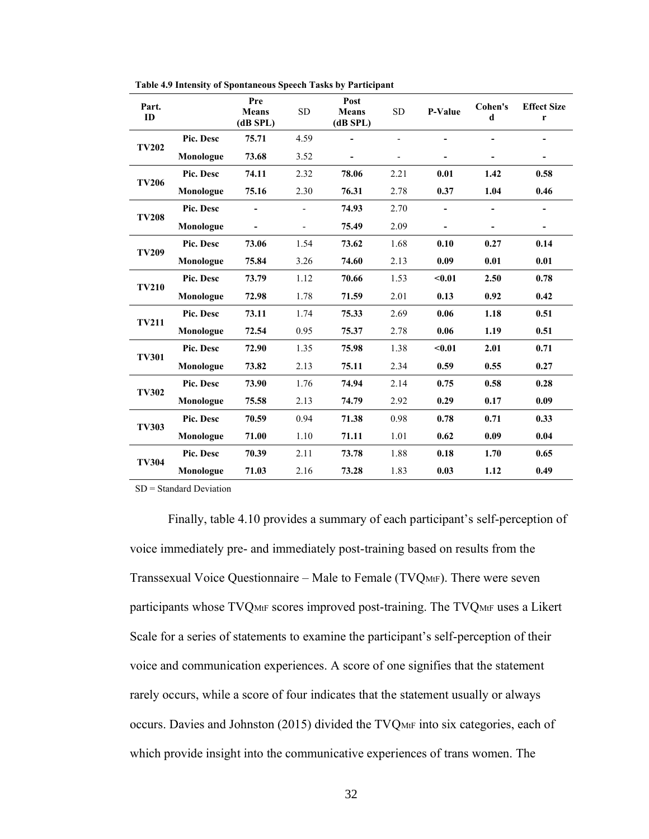| Part.<br>ID  |           | Pre<br><b>Means</b><br>$(dB$ SPL $)$ | <b>SD</b>      | Post<br><b>Means</b><br>$(dB$ SPL $)$ | <b>SD</b> | P-Value | Cohen's<br>d | <b>Effect Size</b><br>$\mathbf r$ |
|--------------|-----------|--------------------------------------|----------------|---------------------------------------|-----------|---------|--------------|-----------------------------------|
| <b>TV202</b> | Pic. Desc | 75.71                                | 4.59           | $\overline{a}$                        |           |         |              |                                   |
|              | Monologue | 73.68                                | 3.52           | $\overline{\phantom{0}}$              |           |         |              |                                   |
| <b>TV206</b> | Pic. Desc | 74.11                                | 2.32           | 78.06                                 | 2.21      | 0.01    | 1.42         | 0.58                              |
|              | Monologue | 75.16                                | 2.30           | 76.31                                 | 2.78      | 0.37    | 1.04         | 0.46                              |
| <b>TV208</b> | Pic. Desc |                                      |                | 74.93                                 | 2.70      |         |              |                                   |
|              | Monologue |                                      | $\overline{a}$ | 75.49                                 | 2.09      |         |              | $\blacksquare$                    |
| <b>TV209</b> | Pic. Desc | 73.06                                | 1.54           | 73.62                                 | 1.68      | 0.10    | 0.27         | 0.14                              |
|              | Monologue | 75.84                                | 3.26           | 74.60                                 | 2.13      | 0.09    | 0.01         | 0.01                              |
| <b>TV210</b> | Pic. Desc | 73.79                                | 1.12           | 70.66                                 | 1.53      | $0.01$  | 2.50         | 0.78                              |
|              | Monologue | 72.98                                | 1.78           | 71.59                                 | 2.01      | 0.13    | 0.92         | 0.42                              |
| <b>TV211</b> | Pic. Desc | 73.11                                | 1.74           | 75.33                                 | 2.69      | 0.06    | 1.18         | 0.51                              |
|              | Monologue | 72.54                                | 0.95           | 75.37                                 | 2.78      | 0.06    | 1.19         | 0.51                              |
| <b>TV301</b> | Pic. Desc | 72.90                                | 1.35           | 75.98                                 | 1.38      | $0.01$  | 2.01         | 0.71                              |
|              | Monologue | 73.82                                | 2.13           | 75.11                                 | 2.34      | 0.59    | 0.55         | 0.27                              |
| <b>TV302</b> | Pic. Desc | 73.90                                | 1.76           | 74.94                                 | 2.14      | 0.75    | 0.58         | 0.28                              |
|              | Monologue | 75.58                                | 2.13           | 74.79                                 | 2.92      | 0.29    | 0.17         | 0.09                              |
| <b>TV303</b> | Pic. Desc | 70.59                                | 0.94           | 71.38                                 | 0.98      | 0.78    | 0.71         | 0.33                              |
|              | Monologue | 71.00                                | 1.10           | 71.11                                 | 1.01      | 0.62    | 0.09         | 0.04                              |
| <b>TV304</b> | Pic. Desc | 70.39                                | 2.11           | 73.78                                 | 1.88      | 0.18    | 1.70         | 0.65                              |
|              | Monologue | 71.03                                | 2.16           | 73.28                                 | 1.83      | 0.03    | 1.12         | 0.49                              |

**Table 4.9 Intensity of Spontaneous Speech Tasks by Participant**

Finally, table 4.10 provides a summary of each participant's self-perception of voice immediately pre- and immediately post-training based on results from the Transsexual Voice Questionnaire – Male to Female (TVQMtF). There were seven participants whose TVQMtF scores improved post-training. The TVQMtF uses a Likert Scale for a series of statements to examine the participant's self-perception of their voice and communication experiences. A score of one signifies that the statement rarely occurs, while a score of four indicates that the statement usually or always occurs. Davies and Johnston (2015) divided the TVQME into six categories, each of which provide insight into the communicative experiences of trans women. The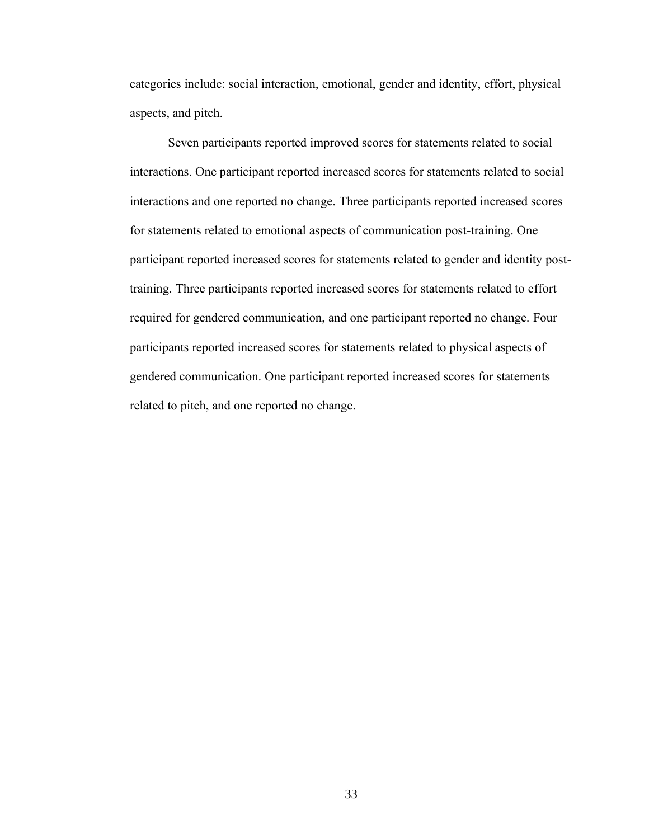categories include: social interaction, emotional, gender and identity, effort, physical aspects, and pitch.

Seven participants reported improved scores for statements related to social interactions. One participant reported increased scores for statements related to social interactions and one reported no change. Three participants reported increased scores for statements related to emotional aspects of communication post-training. One participant reported increased scores for statements related to gender and identity posttraining. Three participants reported increased scores for statements related to effort required for gendered communication, and one participant reported no change. Four participants reported increased scores for statements related to physical aspects of gendered communication. One participant reported increased scores for statements related to pitch, and one reported no change.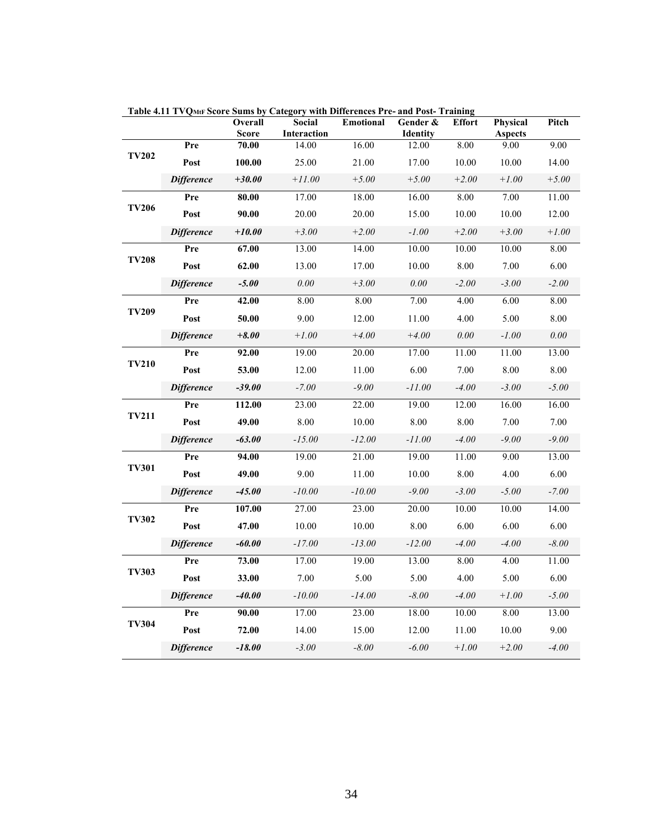|              |                   | Overall        | Social                      | <b>Emotional</b> | Gender &          | <b>Effort</b> | Physical               | Pitch   |
|--------------|-------------------|----------------|-----------------------------|------------------|-------------------|---------------|------------------------|---------|
|              | Pre               | Score<br>70.00 | <b>Interaction</b><br>14.00 | 16.00            | Identity<br>12.00 | 8.00          | <b>Aspects</b><br>9.00 | 9.00    |
| <b>TV202</b> | Post              | 100.00         | 25.00                       | 21.00            | 17.00             | 10.00         | 10.00                  | 14.00   |
|              | <b>Difference</b> | $+30.00$       | $+11.00$                    | $+5.00$          | $+5.00$           | $+2.00$       | $+1.00$                | $+5.00$ |
|              | Pre               | 80.00          | 17.00                       | 18.00            | 16.00             | 8.00          | 7.00                   | 11.00   |
| <b>TV206</b> | Post              | 90.00          | 20.00                       | 20.00            | 15.00             | 10.00         | 10.00                  | 12.00   |
|              | <b>Difference</b> | $+10.00$       | $+3.00$                     | $+2.00$          | $-1.00$           | $+2.00$       | $+3.00$                | $+1.00$ |
|              | Pre               | 67.00          | 13.00                       | 14.00            | 10.00             | 10.00         | 10.00                  | 8.00    |
| <b>TV208</b> | Post              | 62.00          | 13.00                       | 17.00            | 10.00             | 8.00          | 7.00                   | 6.00    |
|              | <b>Difference</b> | $-5.00$        | 0.00                        | $+3.00$          | 0.00              | $-2.00$       | $-3.00$                | $-2.00$ |
|              | Pre               | 42.00          | 8.00                        | 8.00             | 7.00              | 4.00          | 6.00                   | 8.00    |
| <b>TV209</b> | Post              | 50.00          | 9.00                        | 12.00            | 11.00             | 4.00          | 5.00                   | 8.00    |
|              | <b>Difference</b> | $+8.00$        | $+1.00$                     | $+4.00$          | $+4.00$           | 0.00          | $-1.00$                | 0.00    |
| <b>TV210</b> | Pre               | 92.00          | 19.00                       | 20.00            | 17.00             | 11.00         | 11.00                  | 13.00   |
|              | Post              | 53.00          | 12.00                       | 11.00            | 6.00              | 7.00          | 8.00                   | 8.00    |
|              | <b>Difference</b> | $-39.00$       | $-7.00$                     | $-9.00$          | $-11.00$          | $-4.00$       | $-3.00$                | $-5.00$ |
|              | Pre               | 112.00         | 23.00                       | 22.00            | 19.00             | 12.00         | 16.00                  | 16.00   |
| <b>TV211</b> | Post              | 49.00          | 8.00                        | 10.00            | 8.00              | 8.00          | 7.00                   | 7.00    |
|              | <b>Difference</b> | $-63.00$       | $-15.00$                    | $-12.00$         | $-11.00$          | $-4.00$       | $-9.00$                | $-9.00$ |
|              | Pre               | 94.00          | 19.00                       | 21.00            | 19.00             | 11.00         | 9.00                   | 13.00   |
| <b>TV301</b> | Post              | 49.00          | 9.00                        | 11.00            | 10.00             | 8.00          | 4.00                   | 6.00    |
|              | <b>Difference</b> | $-45.00$       | $-10.00$                    | $-10.00$         | $-9.00$           | $-3.00$       | $-5.00$                | $-7.00$ |
|              | Pre               | 107.00         | 27.00                       | 23.00            | 20.00             | 10.00         | 10.00                  | 14.00   |
| <b>TV302</b> | Post              | 47.00          | 10.00                       | 10.00            | 8.00              | 6.00          | 6.00                   | 6.00    |
|              | <b>Difference</b> | $-60.00$       | $-17.00$                    | $-13.00$         | $-12.00$          | -4.00         | $-4.00$                | $-8.00$ |
|              | Pre               | 73.00          | 17.00                       | 19.00            | 13.00             | 8.00          | 4.00                   | 11.00   |
| <b>TV303</b> | Post              | 33.00          | 7.00                        | 5.00             | 5.00              | 4.00          | 5.00                   | 6.00    |
|              | <b>Difference</b> | $-40.00$       | $-10.00$                    | $-14.00$         | $-8.00$           | $-4.00$       | $+1.00$                | $-5.00$ |
|              | Pre               | 90.00          | 17.00                       | 23.00            | 18.00             | 10.00         | 8.00                   | 13.00   |
| <b>TV304</b> | Post              | 72.00          | 14.00                       | 15.00            | 12.00             | 11.00         | 10.00                  | 9.00    |
|              | <b>Difference</b> | $-18.00$       | $-3.00$                     | $-8.00$          | $-6.00$           | $+1.00$       | $+2.00$                | $-4.00$ |

**Table 4.11 TVQMtF Score Sums by Category with Differences Pre- and Post- Training**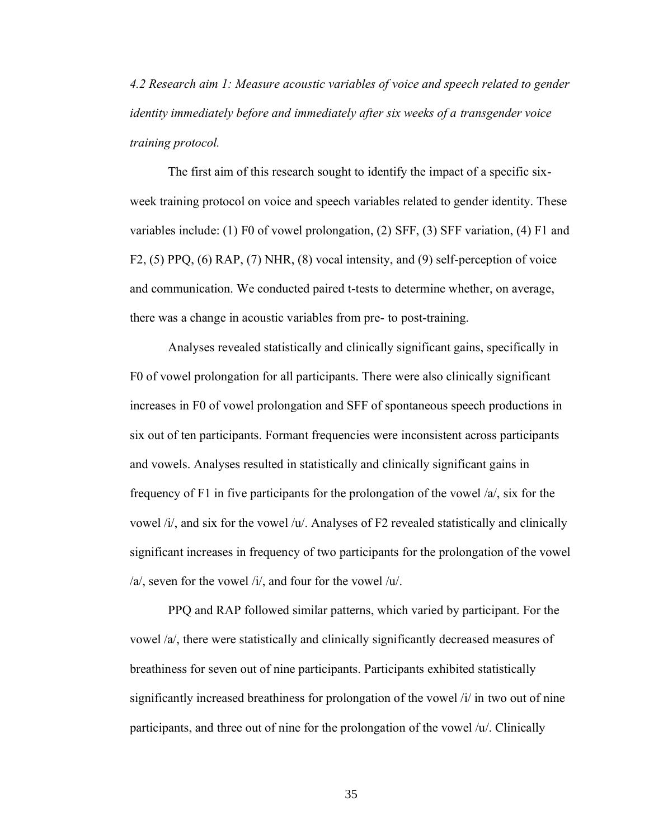*4.2 Research aim 1: Measure acoustic variables of voice and speech related to gender identity immediately before and immediately after six weeks of a transgender voice training protocol.*

The first aim of this research sought to identify the impact of a specific sixweek training protocol on voice and speech variables related to gender identity. These variables include: (1) F0 of vowel prolongation, (2) SFF, (3) SFF variation, (4) F1 and F2, (5) PPQ, (6) RAP, (7) NHR, (8) vocal intensity, and (9) self-perception of voice and communication. We conducted paired t-tests to determine whether, on average, there was a change in acoustic variables from pre- to post-training.

Analyses revealed statistically and clinically significant gains, specifically in F0 of vowel prolongation for all participants. There were also clinically significant increases in F0 of vowel prolongation and SFF of spontaneous speech productions in six out of ten participants. Formant frequencies were inconsistent across participants and vowels. Analyses resulted in statistically and clinically significant gains in frequency of F1 in five participants for the prolongation of the vowel /a/, six for the vowel /i/, and six for the vowel /u/. Analyses of F2 revealed statistically and clinically significant increases in frequency of two participants for the prolongation of the vowel /a/, seven for the vowel /i/, and four for the vowel /u/.

PPQ and RAP followed similar patterns, which varied by participant. For the vowel /a/, there were statistically and clinically significantly decreased measures of breathiness for seven out of nine participants. Participants exhibited statistically significantly increased breathiness for prolongation of the vowel /i/ in two out of nine participants, and three out of nine for the prolongation of the vowel /u/. Clinically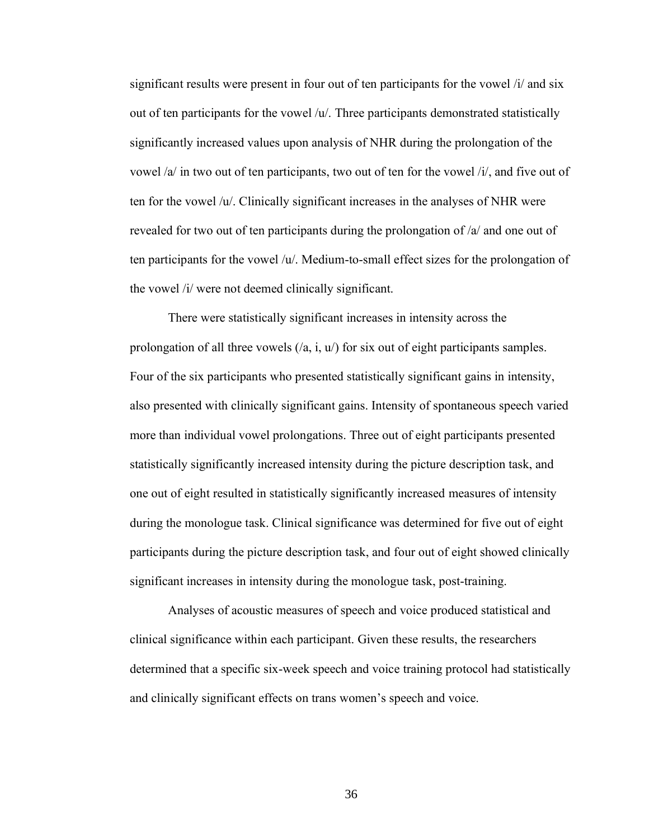significant results were present in four out of ten participants for the vowel /i/ and six out of ten participants for the vowel  $/u'$ . Three participants demonstrated statistically significantly increased values upon analysis of NHR during the prolongation of the vowel /a/ in two out of ten participants, two out of ten for the vowel /i/, and five out of ten for the vowel /u/. Clinically significant increases in the analyses of NHR were revealed for two out of ten participants during the prolongation of /a/ and one out of ten participants for the vowel  $/u'$ . Medium-to-small effect sizes for the prolongation of the vowel /i/ were not deemed clinically significant.

There were statistically significant increases in intensity across the prolongation of all three vowels  $(2a, i, u)$  for six out of eight participants samples. Four of the six participants who presented statistically significant gains in intensity, also presented with clinically significant gains. Intensity of spontaneous speech varied more than individual vowel prolongations. Three out of eight participants presented statistically significantly increased intensity during the picture description task, and one out of eight resulted in statistically significantly increased measures of intensity during the monologue task. Clinical significance was determined for five out of eight participants during the picture description task, and four out of eight showed clinically significant increases in intensity during the monologue task, post-training.

Analyses of acoustic measures of speech and voice produced statistical and clinical significance within each participant. Given these results, the researchers determined that a specific six-week speech and voice training protocol had statistically and clinically significant effects on trans women's speech and voice.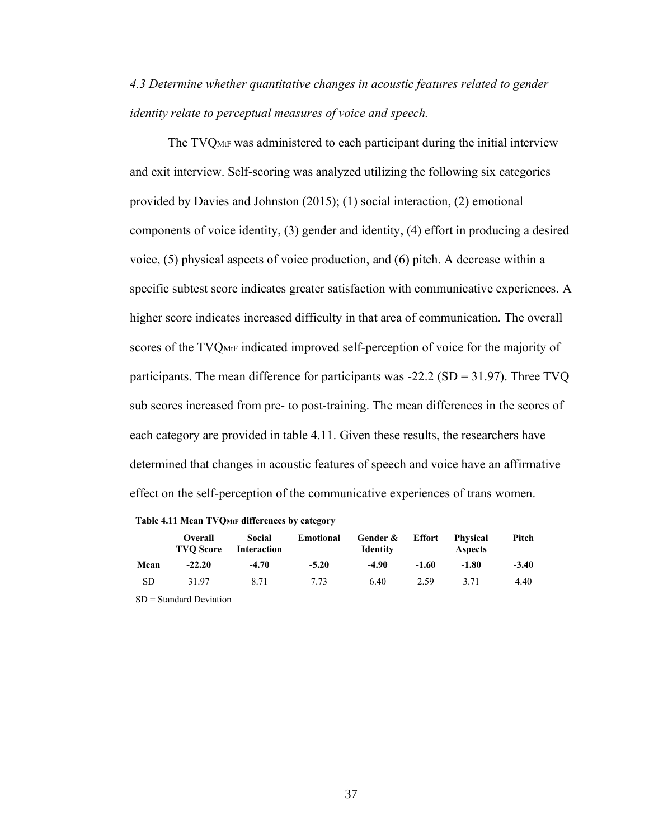*4.3 Determine whether quantitative changes in acoustic features related to gender identity relate to perceptual measures of voice and speech.*

The TVQMtF was administered to each participant during the initial interview and exit interview. Self-scoring was analyzed utilizing the following six categories provided by Davies and Johnston (2015); (1) social interaction, (2) emotional components of voice identity, (3) gender and identity, (4) effort in producing a desired voice, (5) physical aspects of voice production, and (6) pitch. A decrease within a specific subtest score indicates greater satisfaction with communicative experiences. A higher score indicates increased difficulty in that area of communication. The overall scores of the TVQ<sub>MtF</sub> indicated improved self-perception of voice for the majority of participants. The mean difference for participants was -22.2 (SD = 31.97). Three TVQ sub scores increased from pre- to post-training. The mean differences in the scores of each category are provided in table 4.11. Given these results, the researchers have determined that changes in acoustic features of speech and voice have an affirmative effect on the self-perception of the communicative experiences of trans women.

|      | <b>Overall</b><br><b>TVO Score</b> | Social<br>Interaction | Emotional | Gender &<br><b>Identity</b> | Effort  | Physical<br><b>Aspects</b> | Pitch   |
|------|------------------------------------|-----------------------|-----------|-----------------------------|---------|----------------------------|---------|
| Mean | $-22.20$                           | $-4.70$               | $-5.20$   | -4.90                       | $-1.60$ | $-1.80$                    | $-3.40$ |
| SD   | 31.97                              | 8.71                  | 7.73      | 6.40                        | 2.59    | 3.71                       | 4.40    |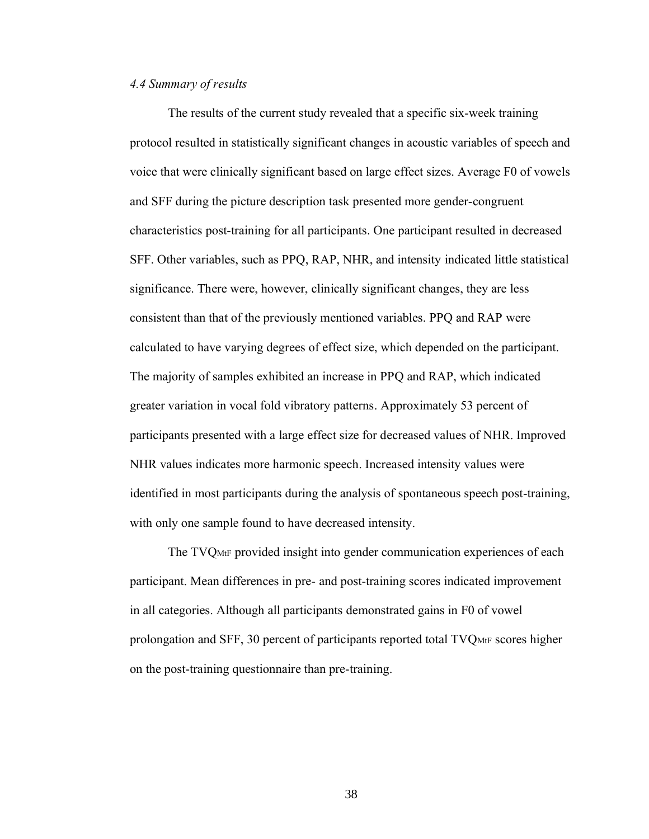# *4.4 Summary of results*

The results of the current study revealed that a specific six-week training protocol resulted in statistically significant changes in acoustic variables of speech and voice that were clinically significant based on large effect sizes. Average F0 of vowels and SFF during the picture description task presented more gender-congruent characteristics post-training for all participants. One participant resulted in decreased SFF. Other variables, such as PPQ, RAP, NHR, and intensity indicated little statistical significance. There were, however, clinically significant changes, they are less consistent than that of the previously mentioned variables. PPQ and RAP were calculated to have varying degrees of effect size, which depended on the participant. The majority of samples exhibited an increase in PPQ and RAP, which indicated greater variation in vocal fold vibratory patterns. Approximately 53 percent of participants presented with a large effect size for decreased values of NHR. Improved NHR values indicates more harmonic speech. Increased intensity values were identified in most participants during the analysis of spontaneous speech post-training, with only one sample found to have decreased intensity.

The TVQMtF provided insight into gender communication experiences of each participant. Mean differences in pre- and post-training scores indicated improvement in all categories. Although all participants demonstrated gains in F0 of vowel prolongation and SFF, 30 percent of participants reported total  $\text{TVQ}_{\text{MtF}}$  scores higher on the post-training questionnaire than pre-training.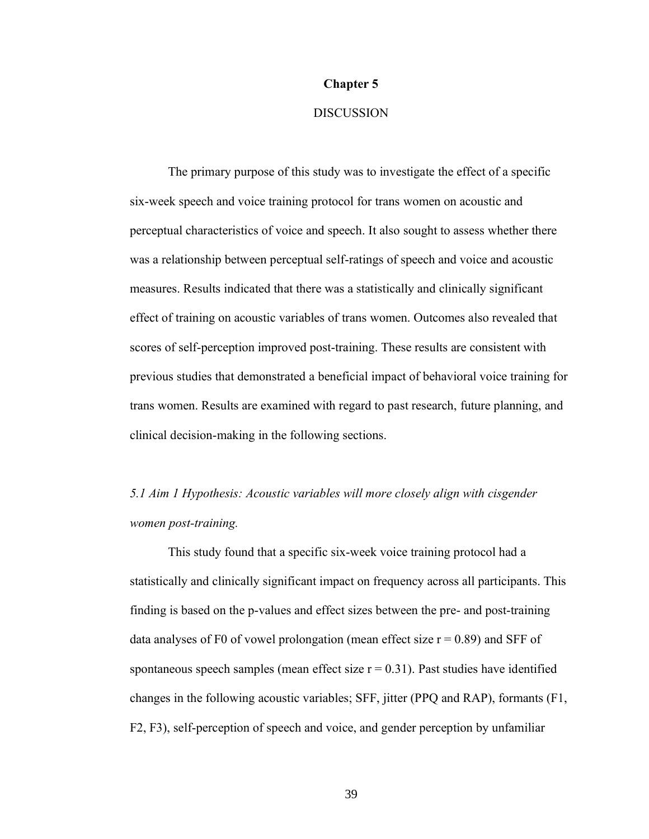#### **Chapter 5**

# **DISCUSSION**

The primary purpose of this study was to investigate the effect of a specific six-week speech and voice training protocol for trans women on acoustic and perceptual characteristics of voice and speech. It also sought to assess whether there was a relationship between perceptual self-ratings of speech and voice and acoustic measures. Results indicated that there was a statistically and clinically significant effect of training on acoustic variables of trans women. Outcomes also revealed that scores of self-perception improved post-training. These results are consistent with previous studies that demonstrated a beneficial impact of behavioral voice training for trans women. Results are examined with regard to past research, future planning, and clinical decision-making in the following sections.

*5.1 Aim 1 Hypothesis: Acoustic variables will more closely align with cisgender women post-training.*

This study found that a specific six-week voice training protocol had a statistically and clinically significant impact on frequency across all participants. This finding is based on the p-values and effect sizes between the pre- and post-training data analyses of F0 of vowel prolongation (mean effect size  $r = 0.89$ ) and SFF of spontaneous speech samples (mean effect size  $r = 0.31$ ). Past studies have identified changes in the following acoustic variables; SFF, jitter (PPQ and RAP), formants (F1, F2, F3), self-perception of speech and voice, and gender perception by unfamiliar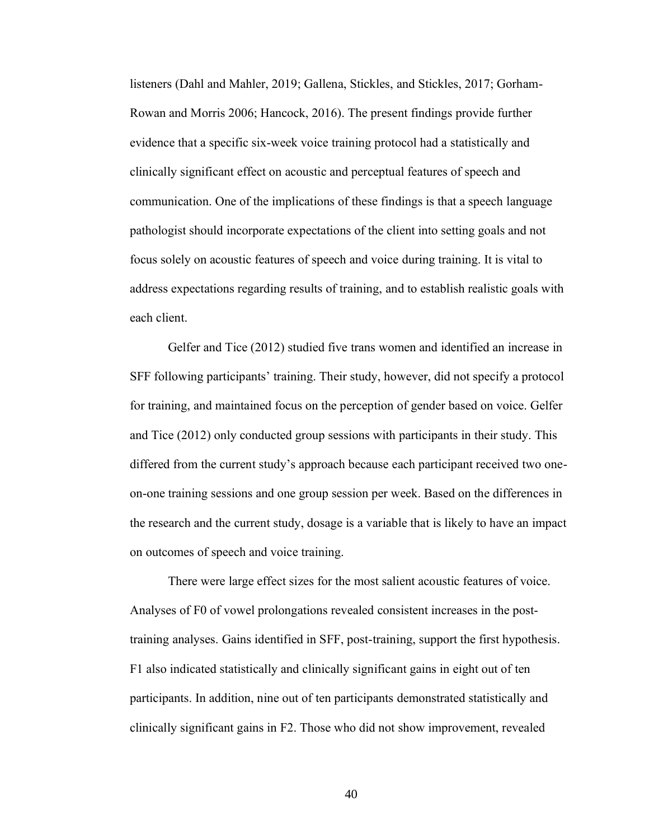listeners (Dahl and Mahler, 2019; Gallena, Stickles, and Stickles, 2017; Gorham-Rowan and Morris 2006; Hancock, 2016). The present findings provide further evidence that a specific six-week voice training protocol had a statistically and clinically significant effect on acoustic and perceptual features of speech and communication. One of the implications of these findings is that a speech language pathologist should incorporate expectations of the client into setting goals and not focus solely on acoustic features of speech and voice during training. It is vital to address expectations regarding results of training, and to establish realistic goals with each client.

Gelfer and Tice (2012) studied five trans women and identified an increase in SFF following participants' training. Their study, however, did not specify a protocol for training, and maintained focus on the perception of gender based on voice. Gelfer and Tice (2012) only conducted group sessions with participants in their study. This differed from the current study's approach because each participant received two oneon-one training sessions and one group session per week. Based on the differences in the research and the current study, dosage is a variable that is likely to have an impact on outcomes of speech and voice training.

There were large effect sizes for the most salient acoustic features of voice. Analyses of F0 of vowel prolongations revealed consistent increases in the posttraining analyses. Gains identified in SFF, post-training, support the first hypothesis. F1 also indicated statistically and clinically significant gains in eight out of ten participants. In addition, nine out of ten participants demonstrated statistically and clinically significant gains in F2. Those who did not show improvement, revealed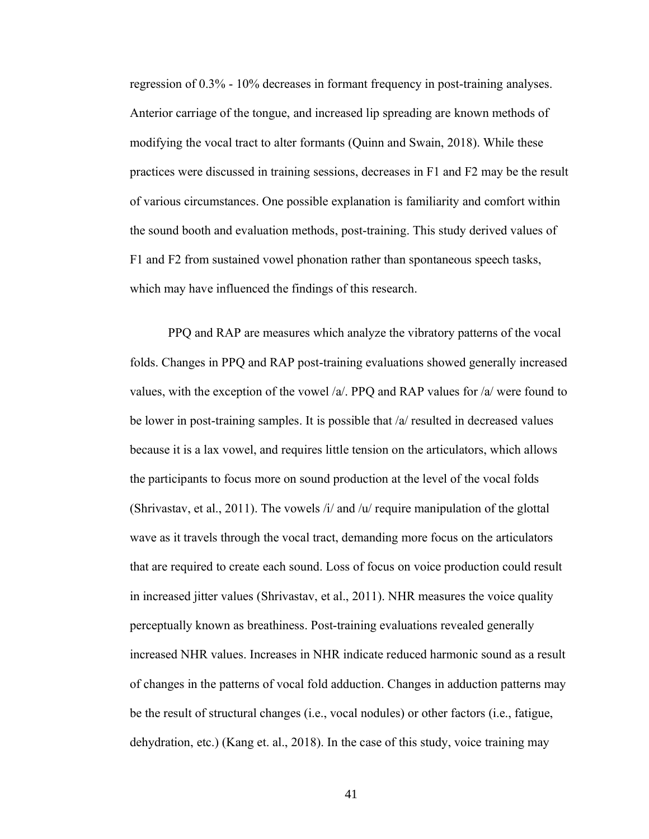regression of 0.3% - 10% decreases in formant frequency in post-training analyses. Anterior carriage of the tongue, and increased lip spreading are known methods of modifying the vocal tract to alter formants (Quinn and Swain, 2018). While these practices were discussed in training sessions, decreases in F1 and F2 may be the result of various circumstances. One possible explanation is familiarity and comfort within the sound booth and evaluation methods, post-training. This study derived values of F1 and F2 from sustained vowel phonation rather than spontaneous speech tasks, which may have influenced the findings of this research.

PPQ and RAP are measures which analyze the vibratory patterns of the vocal folds. Changes in PPQ and RAP post-training evaluations showed generally increased values, with the exception of the vowel /a/. PPQ and RAP values for /a/ were found to be lower in post-training samples. It is possible that /a/ resulted in decreased values because it is a lax vowel, and requires little tension on the articulators, which allows the participants to focus more on sound production at the level of the vocal folds (Shrivastav, et al., 2011). The vowels  $\lambda i$  and  $\lambda u$  require manipulation of the glottal wave as it travels through the vocal tract, demanding more focus on the articulators that are required to create each sound. Loss of focus on voice production could result in increased jitter values (Shrivastav, et al., 2011). NHR measures the voice quality perceptually known as breathiness. Post-training evaluations revealed generally increased NHR values. Increases in NHR indicate reduced harmonic sound as a result of changes in the patterns of vocal fold adduction. Changes in adduction patterns may be the result of structural changes (i.e., vocal nodules) or other factors (i.e., fatigue, dehydration, etc.) (Kang et. al., 2018). In the case of this study, voice training may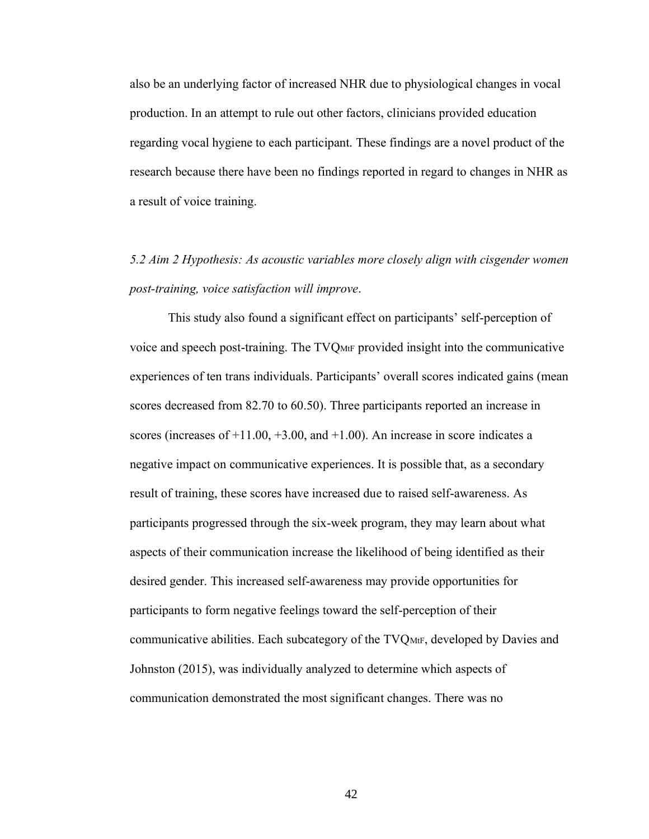also be an underlying factor of increased NHR due to physiological changes in vocal production. In an attempt to rule out other factors, clinicians provided education regarding vocal hygiene to each participant. These findings are a novel product of the research because there have been no findings reported in regard to changes in NHR as a result of voice training.

*5.2 Aim 2 Hypothesis: As acoustic variables more closely align with cisgender women post-training, voice satisfaction will improve*.

This study also found a significant effect on participants' self-perception of voice and speech post-training. The TVQMtF provided insight into the communicative experiences of ten trans individuals. Participants' overall scores indicated gains (mean scores decreased from 82.70 to 60.50). Three participants reported an increase in scores (increases of  $+11.00, +3.00,$  and  $+1.00$ ). An increase in score indicates a negative impact on communicative experiences. It is possible that, as a secondary result of training, these scores have increased due to raised self-awareness. As participants progressed through the six-week program, they may learn about what aspects of their communication increase the likelihood of being identified as their desired gender. This increased self-awareness may provide opportunities for participants to form negative feelings toward the self-perception of their communicative abilities. Each subcategory of the TVQMtF, developed by Davies and Johnston (2015), was individually analyzed to determine which aspects of communication demonstrated the most significant changes. There was no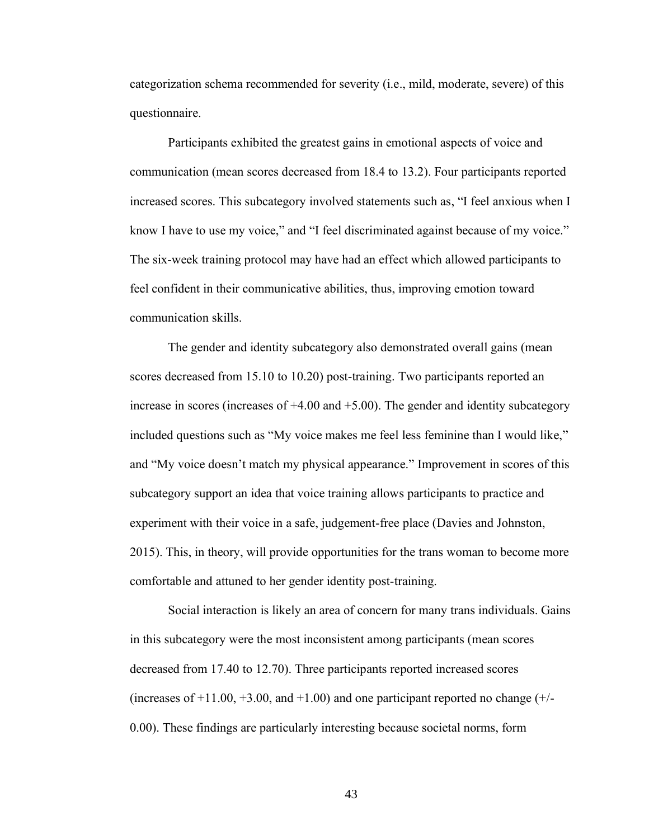categorization schema recommended for severity (i.e., mild, moderate, severe) of this questionnaire.

Participants exhibited the greatest gains in emotional aspects of voice and communication (mean scores decreased from 18.4 to 13.2). Four participants reported increased scores. This subcategory involved statements such as, "I feel anxious when I know I have to use my voice," and "I feel discriminated against because of my voice." The six-week training protocol may have had an effect which allowed participants to feel confident in their communicative abilities, thus, improving emotion toward communication skills.

The gender and identity subcategory also demonstrated overall gains (mean scores decreased from 15.10 to 10.20) post-training. Two participants reported an increase in scores (increases of  $+4.00$  and  $+5.00$ ). The gender and identity subcategory included questions such as "My voice makes me feel less feminine than I would like," and "My voice doesn't match my physical appearance." Improvement in scores of this subcategory support an idea that voice training allows participants to practice and experiment with their voice in a safe, judgement-free place (Davies and Johnston, 2015). This, in theory, will provide opportunities for the trans woman to become more comfortable and attuned to her gender identity post-training.

Social interaction is likely an area of concern for many trans individuals. Gains in this subcategory were the most inconsistent among participants (mean scores decreased from 17.40 to 12.70). Three participants reported increased scores (increases of  $+11.00, +3.00$ , and  $+1.00$ ) and one participant reported no change  $(+/-$ 0.00). These findings are particularly interesting because societal norms, form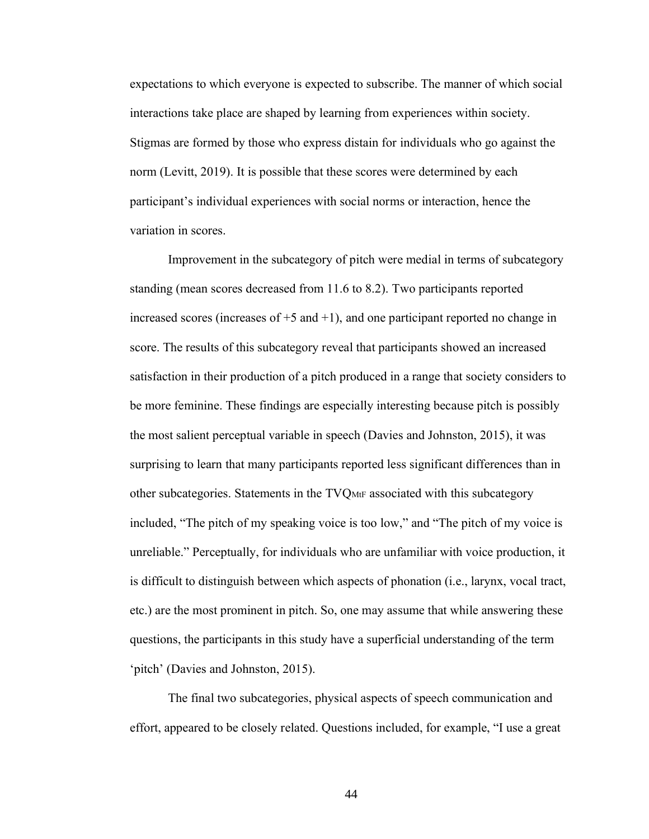expectations to which everyone is expected to subscribe. The manner of which social interactions take place are shaped by learning from experiences within society. Stigmas are formed by those who express distain for individuals who go against the norm (Levitt, 2019). It is possible that these scores were determined by each participant's individual experiences with social norms or interaction, hence the variation in scores.

Improvement in the subcategory of pitch were medial in terms of subcategory standing (mean scores decreased from 11.6 to 8.2). Two participants reported increased scores (increases of  $+5$  and  $+1$ ), and one participant reported no change in score. The results of this subcategory reveal that participants showed an increased satisfaction in their production of a pitch produced in a range that society considers to be more feminine. These findings are especially interesting because pitch is possibly the most salient perceptual variable in speech (Davies and Johnston, 2015), it was surprising to learn that many participants reported less significant differences than in other subcategories. Statements in the TVQ<sub>MtF</sub> associated with this subcategory included, "The pitch of my speaking voice is too low," and "The pitch of my voice is unreliable." Perceptually, for individuals who are unfamiliar with voice production, it is difficult to distinguish between which aspects of phonation (i.e., larynx, vocal tract, etc.) are the most prominent in pitch. So, one may assume that while answering these questions, the participants in this study have a superficial understanding of the term 'pitch' (Davies and Johnston, 2015).

The final two subcategories, physical aspects of speech communication and effort, appeared to be closely related. Questions included, for example, "I use a great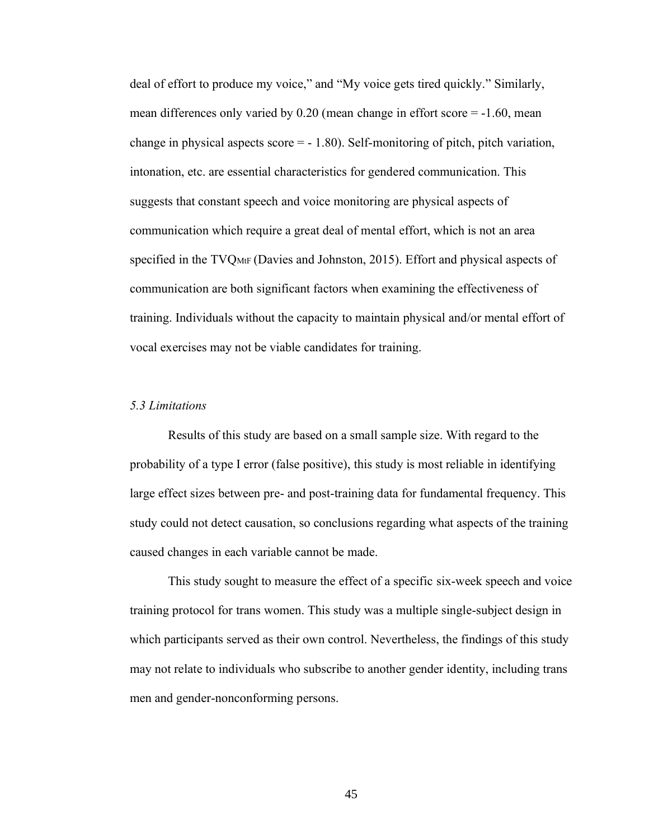deal of effort to produce my voice," and "My voice gets tired quickly." Similarly, mean differences only varied by 0.20 (mean change in effort score = -1.60, mean change in physical aspects score  $= -1.80$ . Self-monitoring of pitch, pitch variation, intonation, etc. are essential characteristics for gendered communication. This suggests that constant speech and voice monitoring are physical aspects of communication which require a great deal of mental effort, which is not an area specified in the TVQMtF (Davies and Johnston, 2015). Effort and physical aspects of communication are both significant factors when examining the effectiveness of training. Individuals without the capacity to maintain physical and/or mental effort of vocal exercises may not be viable candidates for training.

#### *5.3 Limitations*

Results of this study are based on a small sample size. With regard to the probability of a type I error (false positive), this study is most reliable in identifying large effect sizes between pre- and post-training data for fundamental frequency. This study could not detect causation, so conclusions regarding what aspects of the training caused changes in each variable cannot be made.

This study sought to measure the effect of a specific six-week speech and voice training protocol for trans women. This study was a multiple single-subject design in which participants served as their own control. Nevertheless, the findings of this study may not relate to individuals who subscribe to another gender identity, including trans men and gender-nonconforming persons.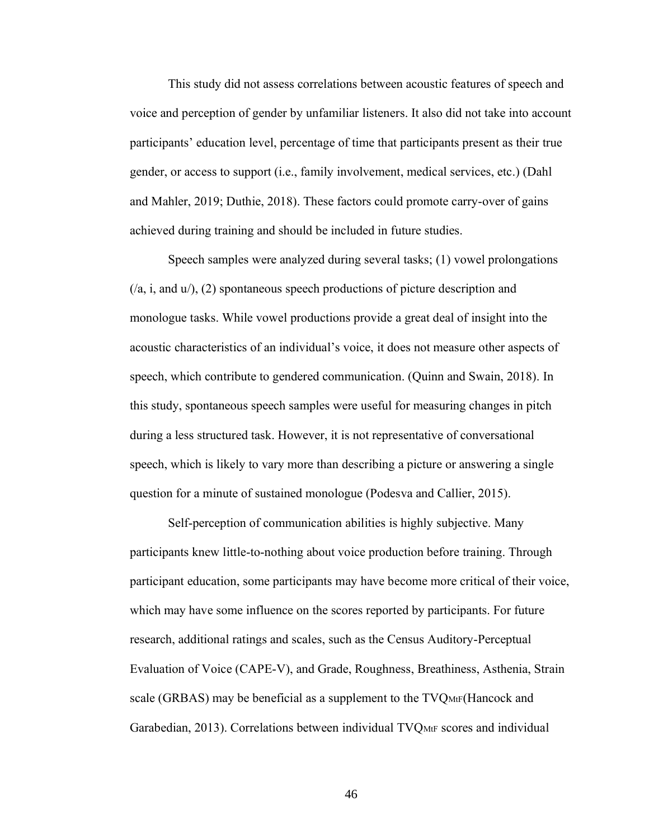This study did not assess correlations between acoustic features of speech and voice and perception of gender by unfamiliar listeners. It also did not take into account participants' education level, percentage of time that participants present as their true gender, or access to support (i.e., family involvement, medical services, etc.) (Dahl and Mahler, 2019; Duthie, 2018). These factors could promote carry-over of gains achieved during training and should be included in future studies.

Speech samples were analyzed during several tasks; (1) vowel prolongations (/a, i, and u/), (2) spontaneous speech productions of picture description and monologue tasks. While vowel productions provide a great deal of insight into the acoustic characteristics of an individual's voice, it does not measure other aspects of speech, which contribute to gendered communication. (Quinn and Swain, 2018). In this study, spontaneous speech samples were useful for measuring changes in pitch during a less structured task. However, it is not representative of conversational speech, which is likely to vary more than describing a picture or answering a single question for a minute of sustained monologue (Podesva and Callier, 2015).

Self-perception of communication abilities is highly subjective. Many participants knew little-to-nothing about voice production before training. Through participant education, some participants may have become more critical of their voice, which may have some influence on the scores reported by participants. For future research, additional ratings and scales, such as the Census Auditory-Perceptual Evaluation of Voice (CAPE-V), and Grade, Roughness, Breathiness, Asthenia, Strain scale (GRBAS) may be beneficial as a supplement to the TVQMtF(Hancock and Garabedian, 2013). Correlations between individual TVQMtF scores and individual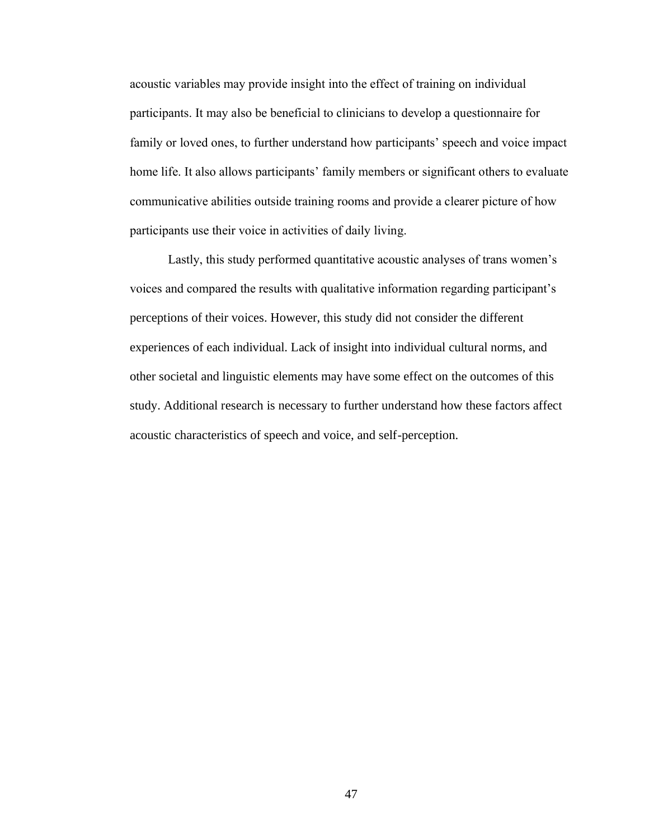acoustic variables may provide insight into the effect of training on individual participants. It may also be beneficial to clinicians to develop a questionnaire for family or loved ones, to further understand how participants' speech and voice impact home life. It also allows participants' family members or significant others to evaluate communicative abilities outside training rooms and provide a clearer picture of how participants use their voice in activities of daily living.

Lastly, this study performed quantitative acoustic analyses of trans women's voices and compared the results with qualitative information regarding participant's perceptions of their voices. However, this study did not consider the different experiences of each individual. Lack of insight into individual cultural norms, and other societal and linguistic elements may have some effect on the outcomes of this study. Additional research is necessary to further understand how these factors affect acoustic characteristics of speech and voice, and self-perception.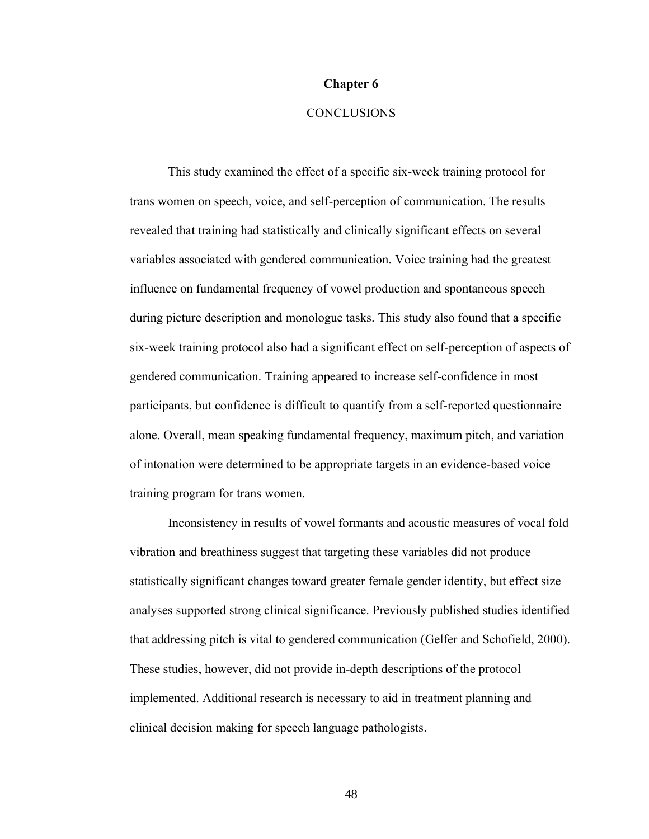#### **Chapter 6**

# **CONCLUSIONS**

This study examined the effect of a specific six-week training protocol for trans women on speech, voice, and self-perception of communication. The results revealed that training had statistically and clinically significant effects on several variables associated with gendered communication. Voice training had the greatest influence on fundamental frequency of vowel production and spontaneous speech during picture description and monologue tasks. This study also found that a specific six-week training protocol also had a significant effect on self-perception of aspects of gendered communication. Training appeared to increase self-confidence in most participants, but confidence is difficult to quantify from a self-reported questionnaire alone. Overall, mean speaking fundamental frequency, maximum pitch, and variation of intonation were determined to be appropriate targets in an evidence-based voice training program for trans women.

Inconsistency in results of vowel formants and acoustic measures of vocal fold vibration and breathiness suggest that targeting these variables did not produce statistically significant changes toward greater female gender identity, but effect size analyses supported strong clinical significance. Previously published studies identified that addressing pitch is vital to gendered communication (Gelfer and Schofield, 2000). These studies, however, did not provide in-depth descriptions of the protocol implemented. Additional research is necessary to aid in treatment planning and clinical decision making for speech language pathologists.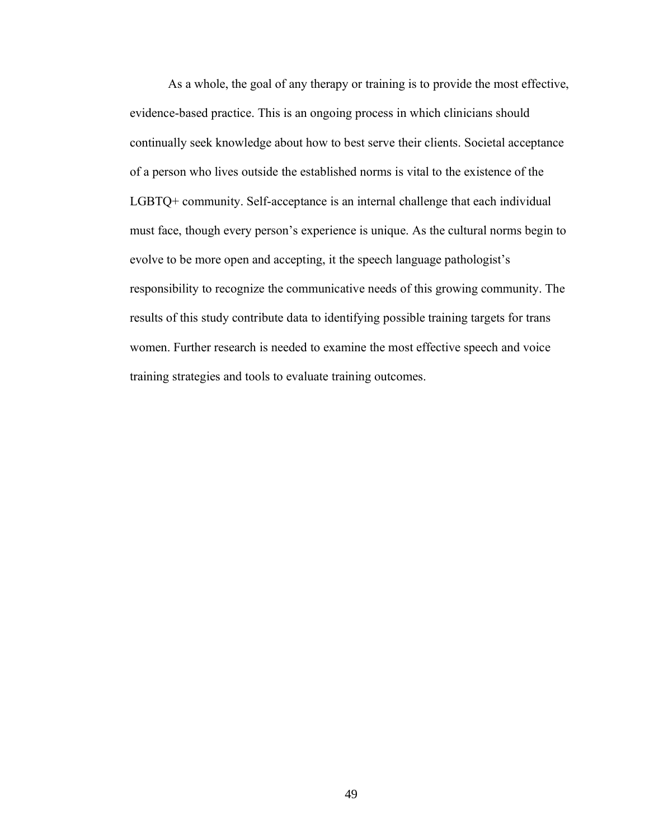As a whole, the goal of any therapy or training is to provide the most effective, evidence-based practice. This is an ongoing process in which clinicians should continually seek knowledge about how to best serve their clients. Societal acceptance of a person who lives outside the established norms is vital to the existence of the LGBTQ+ community. Self-acceptance is an internal challenge that each individual must face, though every person's experience is unique. As the cultural norms begin to evolve to be more open and accepting, it the speech language pathologist's responsibility to recognize the communicative needs of this growing community. The results of this study contribute data to identifying possible training targets for trans women. Further research is needed to examine the most effective speech and voice training strategies and tools to evaluate training outcomes.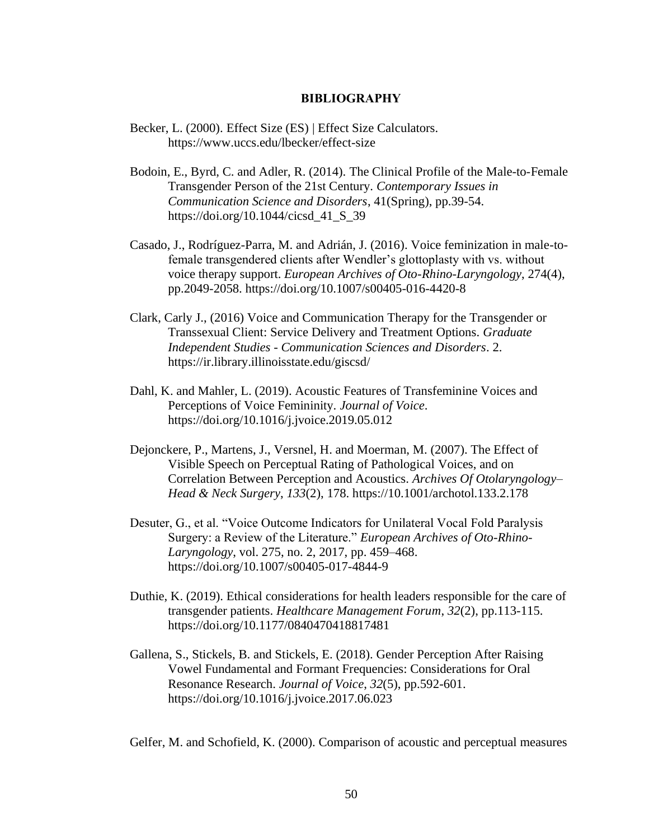### **BIBLIOGRAPHY**

- Becker, L. (2000). Effect Size (ES) | Effect Size Calculators. https://www.uccs.edu/lbecker/effect-size
- Bodoin, E., Byrd, C. and Adler, R. (2014). The Clinical Profile of the Male-to-Female Transgender Person of the 21st Century. *Contemporary Issues in Communication Science and Disorders*, 41(Spring), pp.39-54. https://doi.org/10.1044/cicsd\_41\_S\_39
- Casado, J., Rodríguez-Parra, M. and Adrián, J. (2016). Voice feminization in male-tofemale transgendered clients after Wendler's glottoplasty with vs. without voice therapy support. *European Archives of Oto-Rhino-Laryngology*, 274(4), pp.2049-2058. https://doi.org/10.1007/s00405-016-4420-8
- Clark, Carly J., (2016) Voice and Communication Therapy for the Transgender or Transsexual Client: Service Delivery and Treatment Options. *Graduate Independent Studies - Communication Sciences and Disorders*. 2. https://ir.library.illinoisstate.edu/giscsd/
- Dahl, K. and Mahler, L. (2019). Acoustic Features of Transfeminine Voices and Perceptions of Voice Femininity. *Journal of Voice*. https://doi.org/10.1016/j.jvoice.2019.05.012
- Dejonckere, P., Martens, J., Versnel, H. and Moerman, M. (2007). The Effect of Visible Speech on Perceptual Rating of Pathological Voices, and on Correlation Between Perception and Acoustics. *Archives Of Otolaryngology– Head & Neck Surgery*, *133*(2), 178. https://10.1001/archotol.133.2.178
- Desuter, G., et al. "Voice Outcome Indicators for Unilateral Vocal Fold Paralysis Surgery: a Review of the Literature." *European Archives of Oto-Rhino-Laryngology*, vol. 275, no. 2, 2017, pp. 459–468. https://doi.org/10.1007/s00405-017-4844-9
- Duthie, K. (2019). Ethical considerations for health leaders responsible for the care of transgender patients. *Healthcare Management Forum*, *32*(2), pp.113-115. https://doi.org/10.1177/0840470418817481
- Gallena, S., Stickels, B. and Stickels, E. (2018). Gender Perception After Raising Vowel Fundamental and Formant Frequencies: Considerations for Oral Resonance Research. *Journal of Voice*, *32*(5), pp.592-601. https://doi.org/10.1016/j.jvoice.2017.06.023

Gelfer, M. and Schofield, K. (2000). Comparison of acoustic and perceptual measures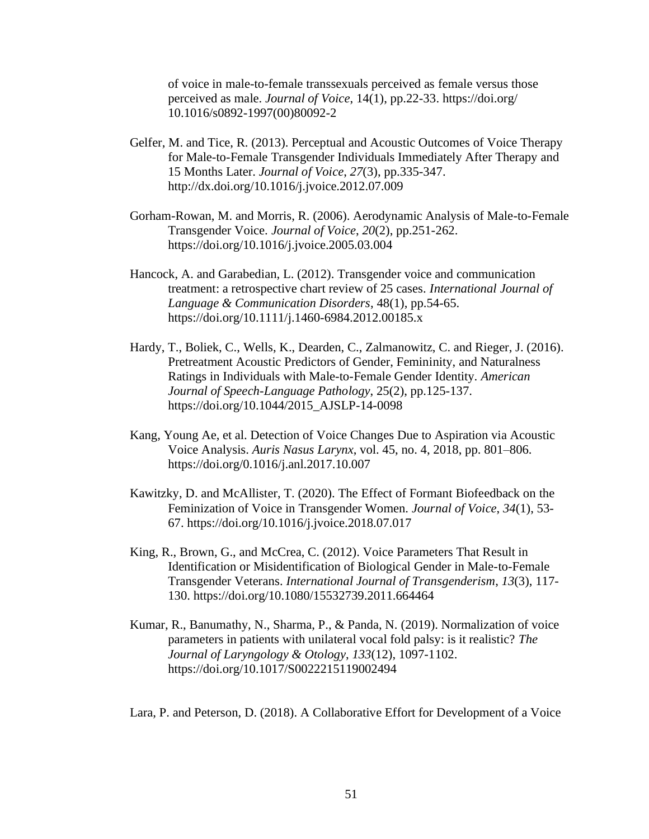of voice in male-to-female transsexuals perceived as female versus those perceived as male. *Journal of Voice*, 14(1), pp.22-33. https://doi.org/ 10.1016/s0892-1997(00)80092-2

- Gelfer, M. and Tice, R. (2013). Perceptual and Acoustic Outcomes of Voice Therapy for Male-to-Female Transgender Individuals Immediately After Therapy and 15 Months Later. *Journal of Voice*, *27*(3), pp.335-347. http://dx.doi.org/10.1016/j.jvoice.2012.07.009
- Gorham-Rowan, M. and Morris, R. (2006). Aerodynamic Analysis of Male-to-Female Transgender Voice. *Journal of Voice*, *20*(2), pp.251-262. https://doi.org/10.1016/j.jvoice.2005.03.004
- Hancock, A. and Garabedian, L. (2012). Transgender voice and communication treatment: a retrospective chart review of 25 cases. *International Journal of Language & Communication Disorders*, 48(1), pp.54-65. https://doi.org/10.1111/j.1460-6984.2012.00185.x
- Hardy, T., Boliek, C., Wells, K., Dearden, C., Zalmanowitz, C. and Rieger, J. (2016). Pretreatment Acoustic Predictors of Gender, Femininity, and Naturalness Ratings in Individuals with Male-to-Female Gender Identity. *American Journal of Speech-Language Pathology*, 25(2), pp.125-137. https://doi.org/10.1044/2015\_AJSLP-14-0098
- Kang, Young Ae, et al. Detection of Voice Changes Due to Aspiration via Acoustic Voice Analysis. *Auris Nasus Larynx*, vol. 45, no. 4, 2018, pp. 801–806. https://doi.org/0.1016/j.anl.2017.10.007
- Kawitzky, D. and McAllister, T. (2020). The Effect of Formant Biofeedback on the Feminization of Voice in Transgender Women. *Journal of Voice*, *34*(1), 53- 67. https://doi.org/10.1016/j.jvoice.2018.07.017
- King, R., Brown, G., and McCrea, C. (2012). Voice Parameters That Result in Identification or Misidentification of Biological Gender in Male-to-Female Transgender Veterans. *International Journal of Transgenderism*, *13*(3), 117- 130. https://doi.org/10.1080/15532739.2011.664464
- Kumar, R., Banumathy, N., Sharma, P., & Panda, N. (2019). Normalization of voice parameters in patients with unilateral vocal fold palsy: is it realistic? *The Journal of Laryngology & Otology*, *133*(12), 1097-1102. https://doi.org/10.1017/S0022215119002494

Lara, P. and Peterson, D. (2018). A Collaborative Effort for Development of a Voice